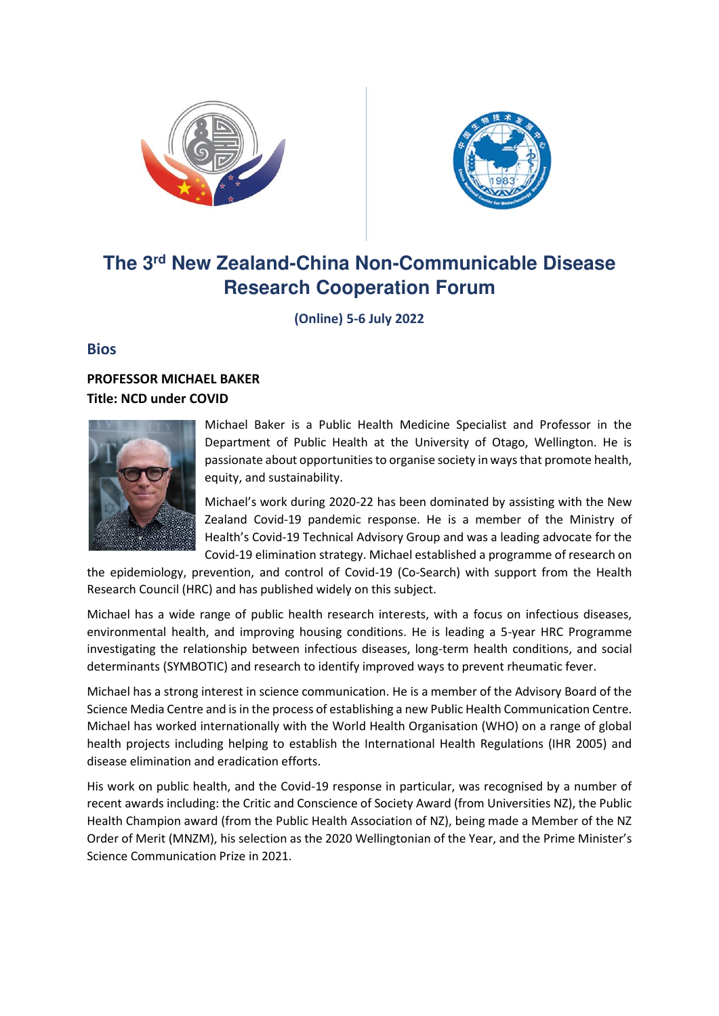



# **The 3rd New Zealand-China Non-Communicable Disease Research Cooperation Forum**

**(Online) 5-6 July 2022** 

# **Bios**

# **PROFESSOR MICHAEL BAKER Title: NCD under COVID**



Michael Baker is a Public Health Medicine Specialist and Professor in the Department of Public Health at the University of Otago, Wellington. He is passionate about opportunities to organise society in ways that promote health, equity, and sustainability.

Michael's work during 2020-22 has been dominated by assisting with the New Zealand Covid-19 pandemic response. He is a member of the Ministry of Health's Covid-19 Technical Advisory Group and was a leading advocate for the Covid-19 elimination strategy. Michael established a programme of research on

the epidemiology, prevention, and control of Covid-19 (Co-Search) with support from the Health Research Council (HRC) and has published widely on this subject.

Michael has a wide range of public health research interests, with a focus on infectious diseases, environmental health, and improving housing conditions. He is leading a 5-year HRC Programme investigating the relationship between infectious diseases, long-term health conditions, and social determinants (SYMBOTIC) and research to identify improved ways to prevent rheumatic fever.

Michael has a strong interest in science communication. He is a member of the Advisory Board of the Science Media Centre and is in the process of establishing a new Public Health Communication Centre. Michael has worked internationally with the World Health Organisation (WHO) on a range of global health projects including helping to establish the International Health Regulations (IHR 2005) and disease elimination and eradication efforts.

His work on public health, and the Covid-19 response in particular, was recognised by a number of recent awards including: the Critic and Conscience of Society Award (from Universities NZ), the Public Health Champion award (from the Public Health Association of NZ), being made a Member of the NZ Order of Merit (MNZM), his selection as the 2020 Wellingtonian of the Year, and the Prime Minister's Science Communication Prize in 2021.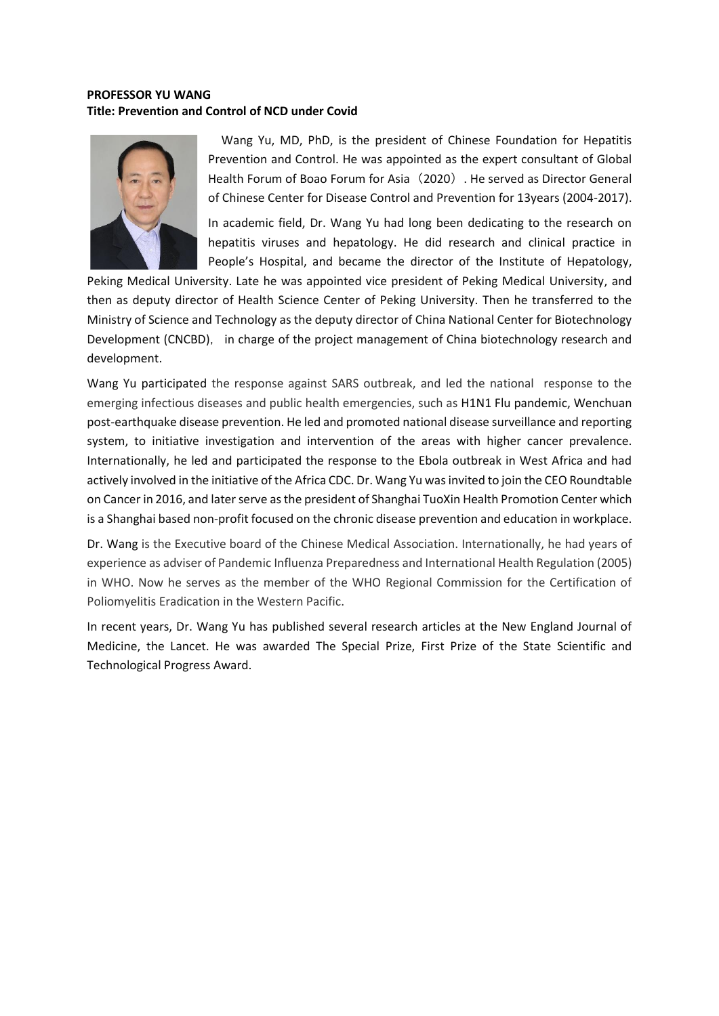### **PROFESSOR YU WANG Title: Prevention and Control of NCD under Covid**



Wang Yu, MD, PhD, is the president of Chinese Foundation for Hepatitis Prevention and Control. He was appointed as the expert consultant of Global Health Forum of Boao Forum for Asia (2020). He served as Director General of Chinese Center for Disease Control and Prevention for 13years (2004-2017).

In academic field, Dr. Wang Yu had long been dedicating to the research on hepatitis viruses and hepatology. He did research and clinical practice in People's Hospital, and became the director of the Institute of Hepatology,

Peking Medical University. Late he was appointed vice president of Peking Medical University, and then as deputy director of Health Science Center of Peking University. Then he transferred to the Ministry of Science and Technology as the deputy director of China National Center for Biotechnology Development (CNCBD), in charge of the project management of China biotechnology research and development.

Wang Yu participated the response against SARS outbreak, and led the national response to the emerging infectious diseases and public health emergencies, such as H1N1 Flu pandemic, Wenchuan post-earthquake disease prevention. He led and promoted national disease surveillance and reporting system, to initiative investigation and intervention of the areas with higher cancer prevalence. Internationally, he led and participated the response to the Ebola outbreak in West Africa and had actively involved in the initiative of the Africa CDC. Dr. Wang Yu was invited to join the CEO Roundtable on Cancer in 2016, and later serve as the president of Shanghai TuoXin Health Promotion Center which is a Shanghai based non-profit focused on the chronic disease prevention and education in workplace.

Dr. Wang is the Executive board of the Chinese Medical Association. Internationally, he had years of experience as adviser of Pandemic Influenza Preparedness and International Health Regulation (2005) in WHO. Now he serves as the member of the WHO Regional Commission for the Certification of Poliomyelitis Eradication in the Western Pacific.

In recent years, Dr. Wang Yu has published several research articles at the New England Journal of Medicine, the Lancet. He was awarded The Special Prize, First Prize of the State Scientific and Technological Progress Award.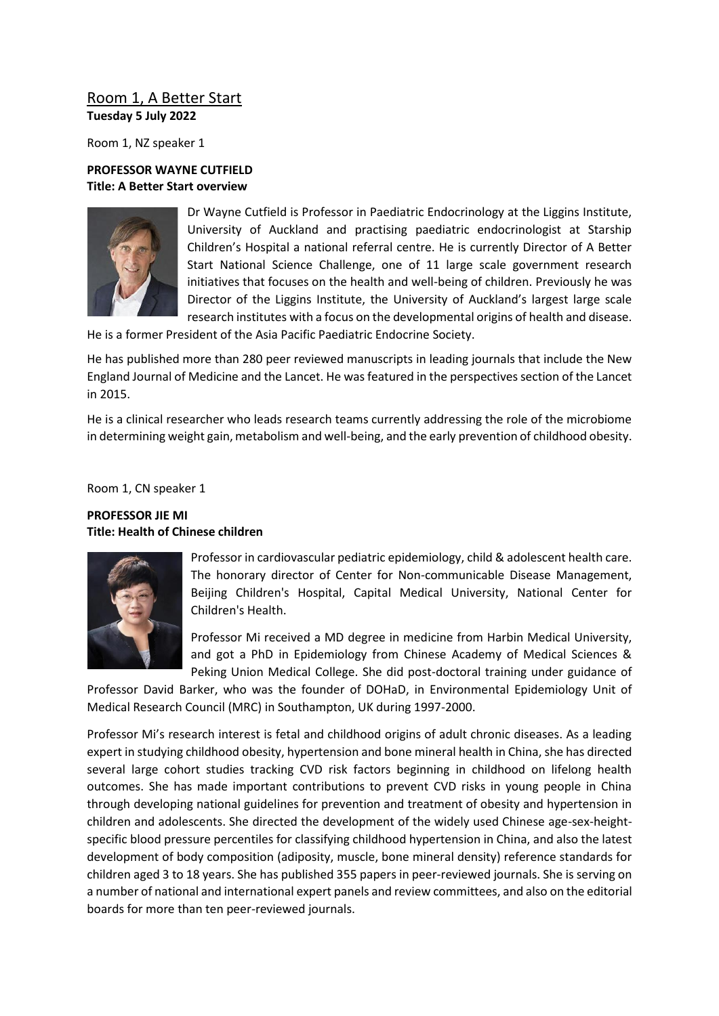# Room 1, A Better Start **Tuesday 5 July 2022**

Room 1, NZ speaker 1

### **PROFESSOR WAYNE CUTFIELD Title: A Better Start overview**



Dr Wayne Cutfield is Professor in Paediatric Endocrinology at the Liggins Institute, University of Auckland and practising paediatric endocrinologist at Starship Children's Hospital a national referral centre. He is currently Director of A Better Start National Science Challenge, one of 11 large scale government research initiatives that focuses on the health and well-being of children. Previously he was Director of the Liggins Institute, the University of Auckland's largest large scale research institutes with a focus on the developmental origins of health and disease.

He is a former President of the Asia Pacific Paediatric Endocrine Society.

He has published more than 280 peer reviewed manuscripts in leading journals that include the New England Journal of Medicine and the Lancet. He was featured in the perspectives section of the Lancet in 2015.

He is a clinical researcher who leads research teams currently addressing the role of the microbiome in determining weight gain, metabolism and well-being, and the early prevention of childhood obesity.

Room 1, CN speaker 1

### **PROFESSOR JIE MI Title: Health of Chinese children**



Professor in cardiovascular pediatric epidemiology, child & adolescent health care. The honorary director of Center for Non-communicable Disease Management, Beijing Children's Hospital, Capital Medical University, National Center for Children's Health.

Professor Mi received a MD degree in medicine from Harbin Medical University, and got a PhD in Epidemiology from Chinese Academy of Medical Sciences & Peking Union Medical College. She did post-doctoral training under guidance of

Professor David Barker, who was the founder of DOHaD, in Environmental Epidemiology Unit of Medical Research Council (MRC) in Southampton, UK during 1997-2000.

Professor Mi's research interest is fetal and childhood origins of adult chronic diseases. As a leading expert in studying childhood obesity, hypertension and bone mineral health in China, she has directed several large cohort studies tracking CVD risk factors beginning in childhood on lifelong health outcomes. She has made important contributions to prevent CVD risks in young people in China through developing national guidelines for prevention and treatment of obesity and hypertension in children and adolescents. She directed the development of the widely used Chinese age-sex-heightspecific blood pressure percentiles for classifying childhood hypertension in China, and also the latest development of body composition (adiposity, muscle, bone mineral density) reference standards for children aged 3 to 18 years. She has published 355 papers in peer-reviewed journals. She is serving on a number of national and international expert panels and review committees, and also on the editorial boards for more than ten peer-reviewed journals.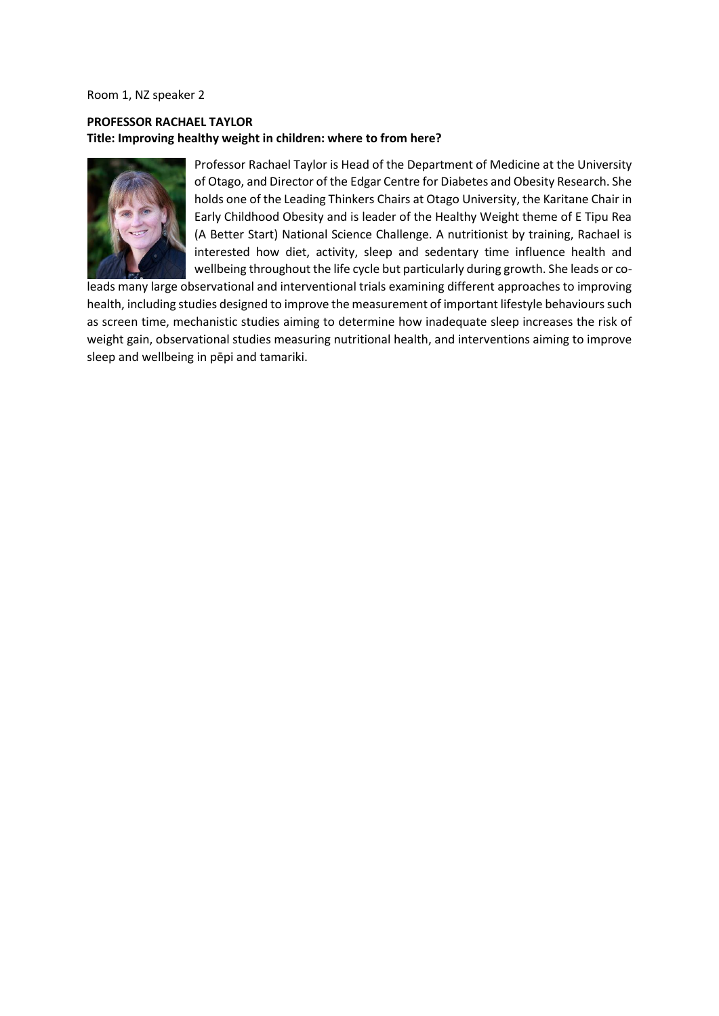Room 1, NZ speaker 2

## **PROFESSOR RACHAEL TAYLOR Title: Improving healthy weight in children: where to from here?**



Professor Rachael Taylor is Head of the Department of Medicine at the University of Otago, and Director of the Edgar Centre for Diabetes and Obesity Research. She holds one of the Leading Thinkers Chairs at Otago University, the Karitane Chair in Early Childhood Obesity and is leader of the Healthy Weight theme of E Tipu Rea (A Better Start) National Science Challenge. A nutritionist by training, Rachael is interested how diet, activity, sleep and sedentary time influence health and wellbeing throughout the life cycle but particularly during growth. She leads or co-

leads many large observational and interventional trials examining different approaches to improving health, including studies designed to improve the measurement of important lifestyle behaviours such as screen time, mechanistic studies aiming to determine how inadequate sleep increases the risk of weight gain, observational studies measuring nutritional health, and interventions aiming to improve sleep and wellbeing in pēpi and tamariki.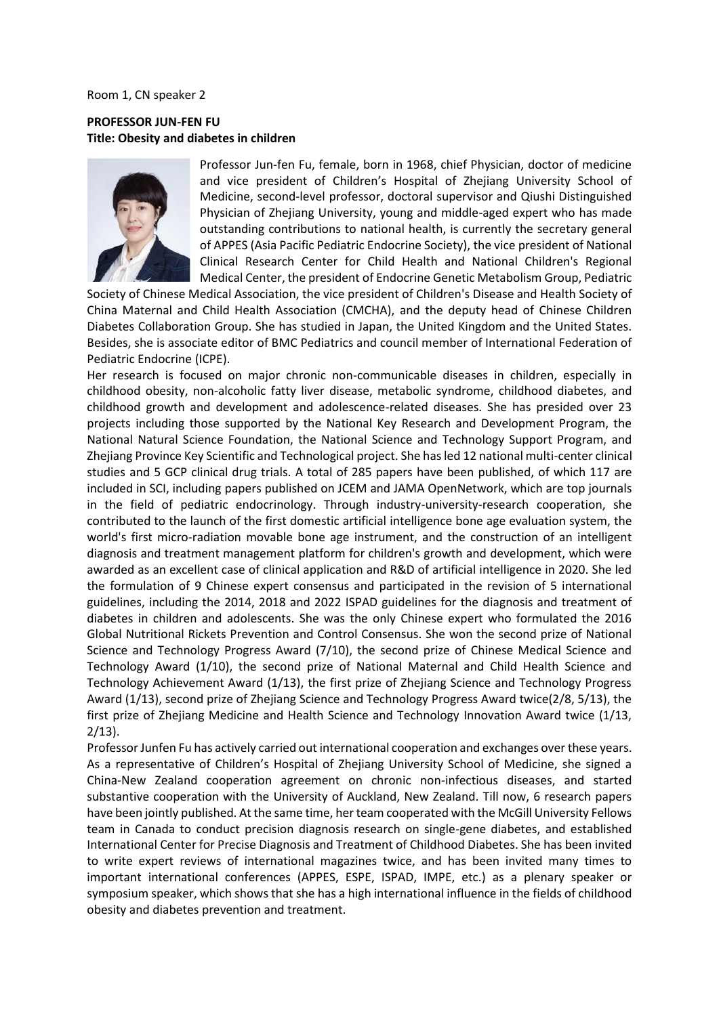Room 1, CN speaker 2

### **PROFESSOR JUN-FEN FU Title: Obesity and diabetes in children**



Professor Jun-fen Fu, female, born in 1968, chief Physician, doctor of medicine and vice president of Children's Hospital of Zhejiang University School of Medicine, second-level professor, doctoral supervisor and Qiushi Distinguished Physician of Zhejiang University, young and middle-aged expert who has made outstanding contributions to national health, is currently the secretary general of APPES (Asia Pacific Pediatric Endocrine Society), the vice president of National Clinical Research Center for Child Health and National Children's Regional Medical Center, the president of Endocrine Genetic Metabolism Group, Pediatric

Society of Chinese Medical Association, the vice president of Children's Disease and Health Society of China Maternal and Child Health Association (CMCHA), and the deputy head of Chinese Children Diabetes Collaboration Group. She has studied in Japan, the United Kingdom and the United States. Besides, she is associate editor of BMC Pediatrics and council member of International Federation of Pediatric Endocrine (ICPE).

Her research is focused on major chronic non-communicable diseases in children, especially in childhood obesity, non-alcoholic fatty liver disease, metabolic syndrome, childhood diabetes, and childhood growth and development and adolescence-related diseases. She has presided over 23 projects including those supported by the National Key Research and Development Program, the National Natural Science Foundation, the National Science and Technology Support Program, and Zhejiang Province Key Scientific and Technological project. She has led 12 national multi-center clinical studies and 5 GCP clinical drug trials. A total of 285 papers have been published, of which 117 are included in SCI, including papers published on JCEM and JAMA OpenNetwork, which are top journals in the field of pediatric endocrinology. Through industry-university-research cooperation, she contributed to the launch of the first domestic artificial intelligence bone age evaluation system, the world's first micro-radiation movable bone age instrument, and the construction of an intelligent diagnosis and treatment management platform for children's growth and development, which were awarded as an excellent case of clinical application and R&D of artificial intelligence in 2020. She led the formulation of 9 Chinese expert consensus and participated in the revision of 5 international guidelines, including the 2014, 2018 and 2022 ISPAD guidelines for the diagnosis and treatment of diabetes in children and adolescents. She was the only Chinese expert who formulated the 2016 Global Nutritional Rickets Prevention and Control Consensus. She won the second prize of National Science and Technology Progress Award (7/10), the second prize of Chinese Medical Science and Technology Award (1/10), the second prize of National Maternal and Child Health Science and Technology Achievement Award (1/13), the first prize of Zhejiang Science and Technology Progress Award (1/13), second prize of Zhejiang Science and Technology Progress Award twice(2/8, 5/13), the first prize of Zhejiang Medicine and Health Science and Technology Innovation Award twice (1/13, 2/13).

Professor Junfen Fu has actively carried out international cooperation and exchanges over these years. As a representative of Children's Hospital of Zhejiang University School of Medicine, she signed a China-New Zealand cooperation agreement on chronic non-infectious diseases, and started substantive cooperation with the University of Auckland, New Zealand. Till now, 6 research papers have been jointly published. At the same time, her team cooperated with the McGill University Fellows team in Canada to conduct precision diagnosis research on single-gene diabetes, and established International Center for Precise Diagnosis and Treatment of Childhood Diabetes. She has been invited to write expert reviews of international magazines twice, and has been invited many times to important international conferences (APPES, ESPE, ISPAD, IMPE, etc.) as a plenary speaker or symposium speaker, which shows that she has a high international influence in the fields of childhood obesity and diabetes prevention and treatment.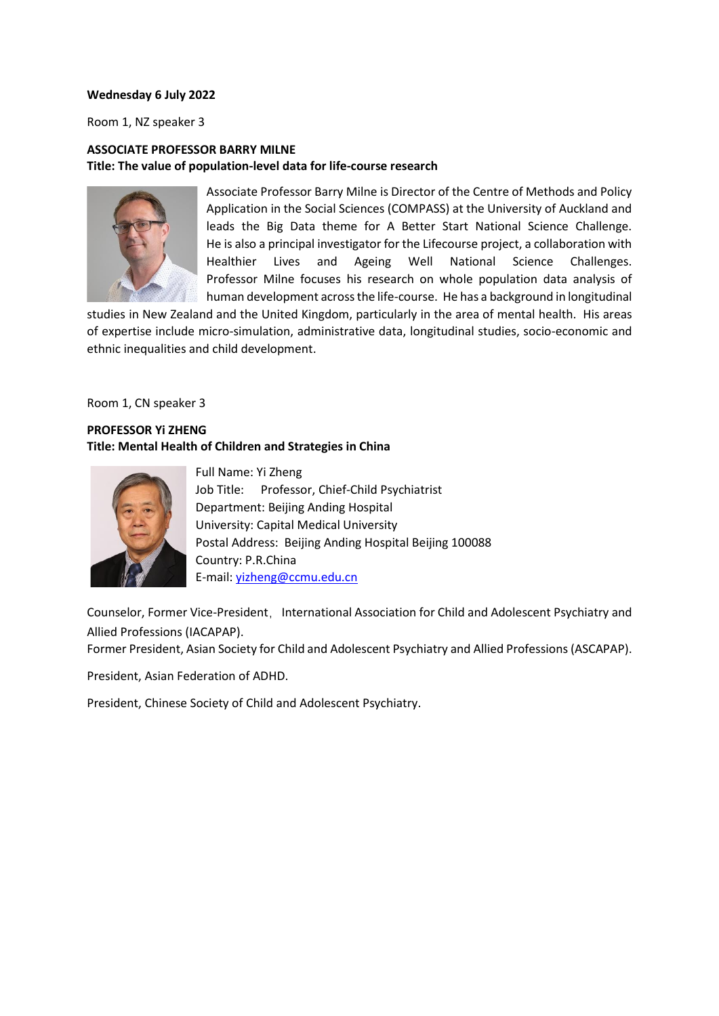### **Wednesday 6 July 2022**

Room 1, NZ speaker 3

### **ASSOCIATE PROFESSOR BARRY MILNE Title: The value of population-level data for life-course research**



Associate Professor Barry Milne is Director of the Centre of Methods and Policy Application in the Social Sciences (COMPASS) at the University of Auckland and leads the Big Data theme for A Better Start National Science Challenge. He is also a principal investigator for the Lifecourse project, a collaboration with Healthier Lives and Ageing Well National Science Challenges. Professor Milne focuses his research on whole population data analysis of human development across the life-course. He has a background in longitudinal

studies in New Zealand and the United Kingdom, particularly in the area of mental health. His areas of expertise include micro-simulation, administrative data, longitudinal studies, socio-economic and ethnic inequalities and child development.

Room 1, CN speaker 3

# **PROFESSOR Yi ZHENG Title: Mental Health of Children and Strategies in China**



Full Name: Yi Zheng Job Title: Professor, Chief-Child Psychiatrist Department: Beijing Anding Hospital University: Capital Medical University Postal Address: Beijing Anding Hospital Beijing 100088 Country: P.R.China E-mail: [yizheng@ccmu.edu.cn](mailto:yizheng@ccmu.edu.cn)

Counselor, Former Vice-President, International Association for Child and Adolescent Psychiatry and Allied Professions (IACAPAP).

Former President, Asian Society for Child and Adolescent Psychiatry and Allied Professions (ASCAPAP).

President, Asian Federation of ADHD.

President, Chinese Society of Child and Adolescent Psychiatry.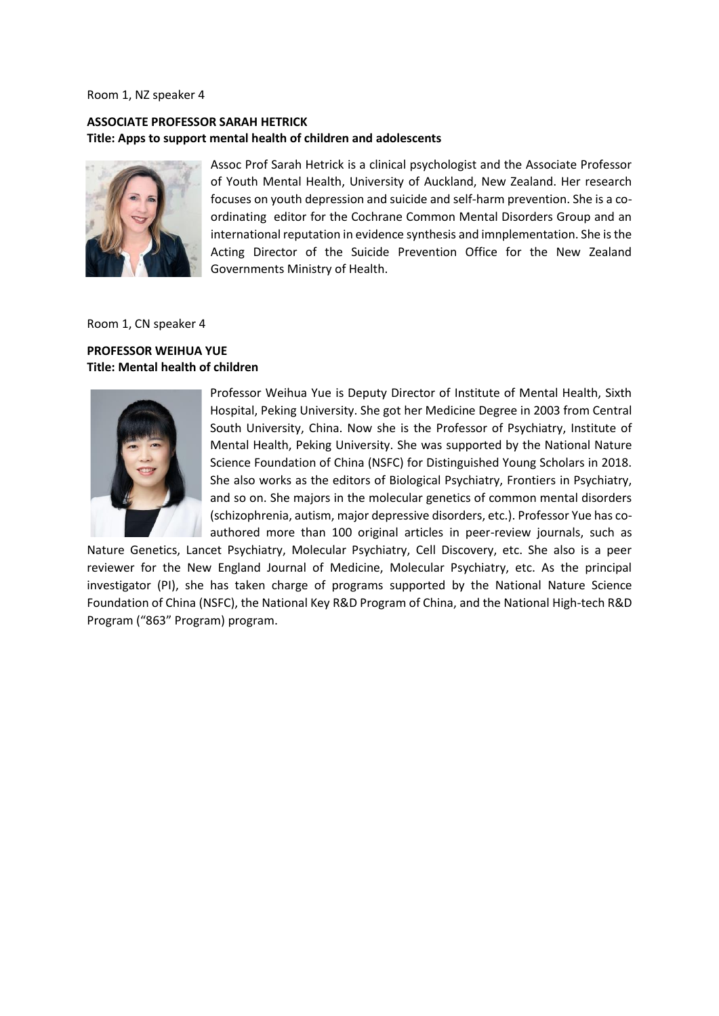#### Room 1, NZ speaker 4

### **ASSOCIATE PROFESSOR SARAH HETRICK Title: Apps to support mental health of children and adolescents**



Assoc Prof Sarah Hetrick is a clinical psychologist and the Associate Professor of Youth Mental Health, University of Auckland, New Zealand. Her research focuses on youth depression and suicide and self-harm prevention. She is a coordinating editor for the Cochrane Common Mental Disorders Group and an international reputation in evidence synthesis and imnplementation. She is the Acting Director of the Suicide Prevention Office for the New Zealand Governments Ministry of Health.

Room 1, CN speaker 4

#### **PROFESSOR WEIHUA YUE Title: Mental health of children**



Professor Weihua Yue is Deputy Director of Institute of Mental Health, Sixth Hospital, Peking University. She got her Medicine Degree in 2003 from Central South University, China. Now she is the Professor of Psychiatry, Institute of Mental Health, Peking University. She was supported by the National Nature Science Foundation of China (NSFC) for Distinguished Young Scholars in 2018. She also works as the editors of Biological Psychiatry, Frontiers in Psychiatry, and so on. She majors in the molecular genetics of common mental disorders (schizophrenia, autism, major depressive disorders, etc.). Professor Yue has coauthored more than 100 original articles in peer-review journals, such as

Nature Genetics, Lancet Psychiatry, Molecular Psychiatry, Cell Discovery, etc. She also is a peer reviewer for the New England Journal of Medicine, Molecular Psychiatry, etc. As the principal investigator (PI), she has taken charge of programs supported by the National Nature Science Foundation of China (NSFC), the National Key R&D Program of China, and the National High-tech R&D Program ("863" Program) program.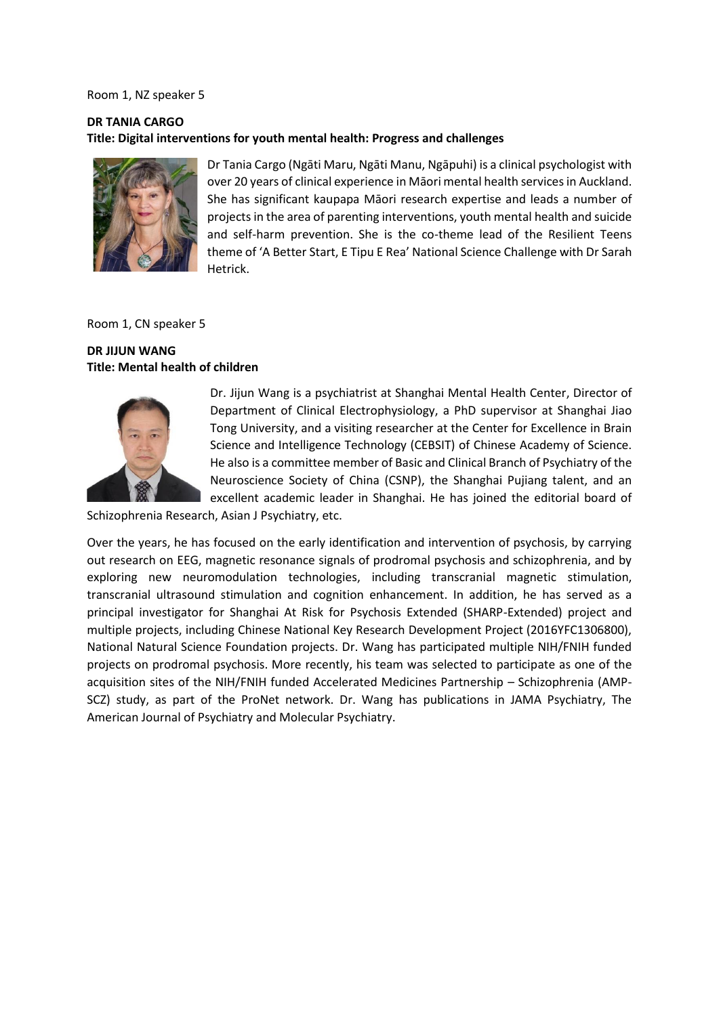#### Room 1, NZ speaker 5

### **DR TANIA CARGO Title: Digital interventions for youth mental health: Progress and challenges**



Dr Tania Cargo (Ngāti Maru, Ngāti Manu, Ngāpuhi) is a clinical psychologist with over 20 years of clinical experience in Māori mental health services in Auckland. She has significant kaupapa Māori research expertise and leads a number of projects in the area of parenting interventions, youth mental health and suicide and self-harm prevention. She is the co-theme lead of the Resilient Teens theme of 'A Better Start, E Tipu E Rea' National Science Challenge with Dr Sarah Hetrick.

Room 1, CN speaker 5

### **DR JIJUN WANG Title: Mental health of children**



Dr. Jijun Wang is a psychiatrist at Shanghai Mental Health Center, Director of Department of Clinical Electrophysiology, a PhD supervisor at Shanghai Jiao Tong University, and a visiting researcher at the Center for Excellence in Brain Science and Intelligence Technology (CEBSIT) of Chinese Academy of Science. He also is a committee member of Basic and Clinical Branch of Psychiatry of the Neuroscience Society of China (CSNP), the Shanghai Pujiang talent, and an excellent academic leader in Shanghai. He has joined the editorial board of

Schizophrenia Research, Asian J Psychiatry, etc.

Over the years, he has focused on the early identification and intervention of psychosis, by carrying out research on EEG, magnetic resonance signals of prodromal psychosis and schizophrenia, and by exploring new neuromodulation technologies, including transcranial magnetic stimulation, transcranial ultrasound stimulation and cognition enhancement. In addition, he has served as a principal investigator for Shanghai At Risk for Psychosis Extended (SHARP-Extended) project and multiple projects, including Chinese National Key Research Development Project (2016YFC1306800), National Natural Science Foundation projects. Dr. Wang has participated multiple NIH/FNIH funded projects on prodromal psychosis. More recently, his team was selected to participate as one of the acquisition sites of the NIH/FNIH funded Accelerated Medicines Partnership – Schizophrenia (AMP-SCZ) study, as part of the ProNet network. Dr. Wang has publications in JAMA Psychiatry, The American Journal of Psychiatry and Molecular Psychiatry.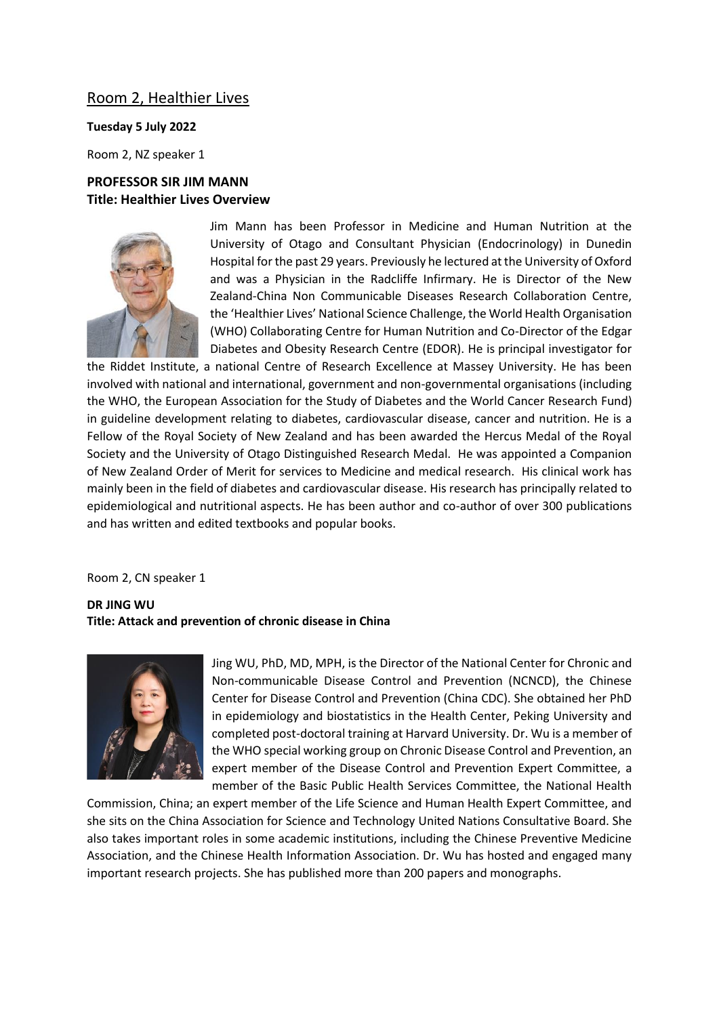### Room 2, Healthier Lives

### **Tuesday 5 July 2022**

Room 2, NZ speaker 1

### **PROFESSOR SIR JIM MANN Title: Healthier Lives Overview**



Jim Mann has been Professor in Medicine and Human Nutrition at the University of Otago and Consultant Physician (Endocrinology) in Dunedin Hospital for the past 29 years. Previously he lectured at the University of Oxford and was a Physician in the Radcliffe Infirmary. He is Director of the New Zealand-China Non Communicable Diseases Research Collaboration Centre, the 'Healthier Lives' National Science Challenge, the World Health Organisation (WHO) Collaborating Centre for Human Nutrition and Co-Director of the Edgar Diabetes and Obesity Research Centre (EDOR). He is principal investigator for

the Riddet Institute, a national Centre of Research Excellence at Massey University. He has been involved with national and international, government and non-governmental organisations (including the WHO, the European Association for the Study of Diabetes and the World Cancer Research Fund) in guideline development relating to diabetes, cardiovascular disease, cancer and nutrition. He is a Fellow of the Royal Society of New Zealand and has been awarded the Hercus Medal of the Royal Society and the University of Otago Distinguished Research Medal. He was appointed a Companion of New Zealand Order of Merit for services to Medicine and medical research. His clinical work has mainly been in the field of diabetes and cardiovascular disease. His research has principally related to epidemiological and nutritional aspects. He has been author and co-author of over 300 publications and has written and edited textbooks and popular books.

Room 2, CN speaker 1

# **DR JING WU Title: Attack and prevention of chronic disease in China**



Jing WU, PhD, MD, MPH, is the Director of the National Center for Chronic and Non-communicable Disease Control and Prevention (NCNCD), the Chinese Center for Disease Control and Prevention (China CDC). She obtained her PhD in epidemiology and biostatistics in the Health Center, Peking University and completed post-doctoral training at Harvard University. Dr. Wu is a member of the WHO special working group on Chronic Disease Control and Prevention, an expert member of the Disease Control and Prevention Expert Committee, a member of the Basic Public Health Services Committee, the National Health

Commission, China; an expert member of the Life Science and Human Health Expert Committee, and she sits on the China Association for Science and Technology United Nations Consultative Board. She also takes important roles in some academic institutions, including the Chinese Preventive Medicine Association, and the Chinese Health Information Association. Dr. Wu has hosted and engaged many important research projects. She has published more than 200 papers and monographs.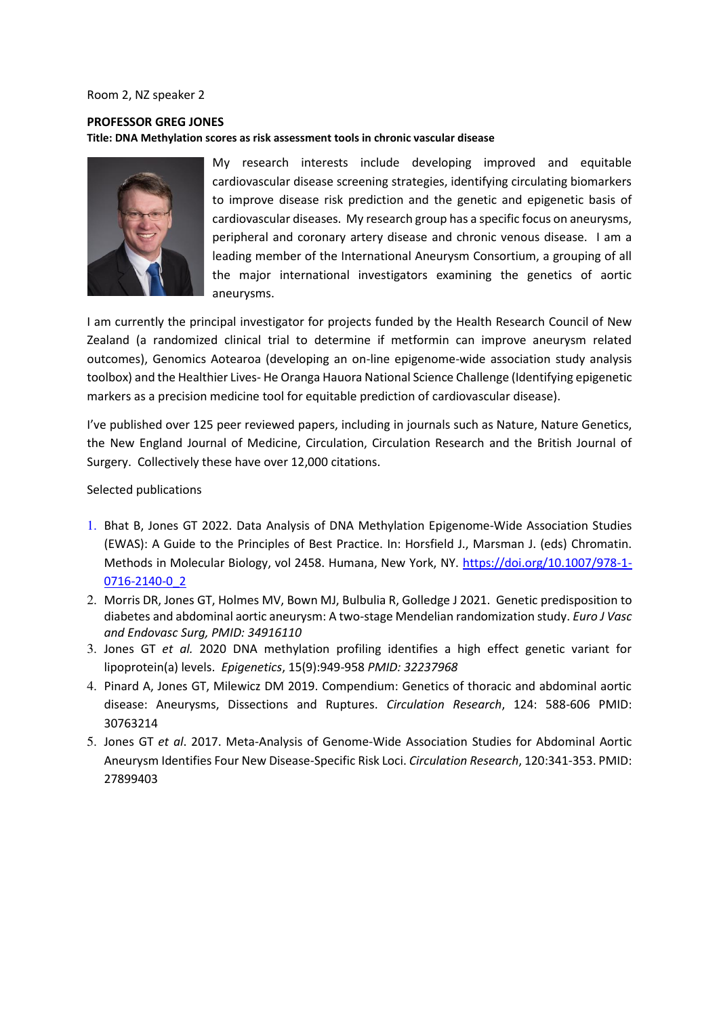#### Room 2, NZ speaker 2

### **PROFESSOR GREG JONES Title: DNA Methylation scores as risk assessment tools in chronic vascular disease**



My research interests include developing improved and equitable cardiovascular disease screening strategies, identifying circulating biomarkers to improve disease risk prediction and the genetic and epigenetic basis of cardiovascular diseases. My research group has a specific focus on aneurysms, peripheral and coronary artery disease and chronic venous disease. I am a leading member of the International Aneurysm Consortium, a grouping of all the major international investigators examining the genetics of aortic aneurysms.

I am currently the principal investigator for projects funded by the Health Research Council of New Zealand (a randomized clinical trial to determine if metformin can improve aneurysm related outcomes), Genomics Aotearoa (developing an on-line epigenome-wide association study analysis toolbox) and the Healthier Lives- He Oranga Hauora National Science Challenge (Identifying epigenetic markers as a precision medicine tool for equitable prediction of cardiovascular disease).

I've published over 125 peer reviewed papers, including in journals such as Nature, Nature Genetics, the New England Journal of Medicine, Circulation, Circulation Research and the British Journal of Surgery. Collectively these have over 12,000 citations.

### Selected publications

- 1. Bhat B, Jones GT 2022. Data Analysis of DNA Methylation Epigenome-Wide Association Studies (EWAS): A Guide to the Principles of Best Practice. In: Horsfield J., Marsman J. (eds) Chromatin. Methods in Molecular Biology, vol 2458. Humana, New York, NY. [https://doi.org/10.1007/978-1-](https://doi.org/10.1007/978-1-0716-2140-0_2) [0716-2140-0\\_2](https://doi.org/10.1007/978-1-0716-2140-0_2)
- 2. Morris DR, Jones GT, Holmes MV, Bown MJ, Bulbulia R, Golledge J 2021. Genetic predisposition to diabetes and abdominal aortic aneurysm: A two-stage Mendelian randomization study. *Euro J Vasc and Endovasc Surg, PMID: 34916110*
- 3. Jones GT *et al.* 2020 DNA methylation profiling identifies a high effect genetic variant for lipoprotein(a) levels. *Epigenetics*, 15(9):949-958 *PMID: 32237968*
- 4. Pinard A, Jones GT, Milewicz DM 2019. Compendium: Genetics of thoracic and abdominal aortic disease: Aneurysms, Dissections and Ruptures. *Circulation Research*, 124: 588-606 PMID: 30763214
- 5. Jones GT *et al*. 2017. Meta-Analysis of Genome-Wide Association Studies for Abdominal Aortic Aneurysm Identifies Four New Disease-Specific Risk Loci. *Circulation Research*, 120:341-353. PMID: 27899403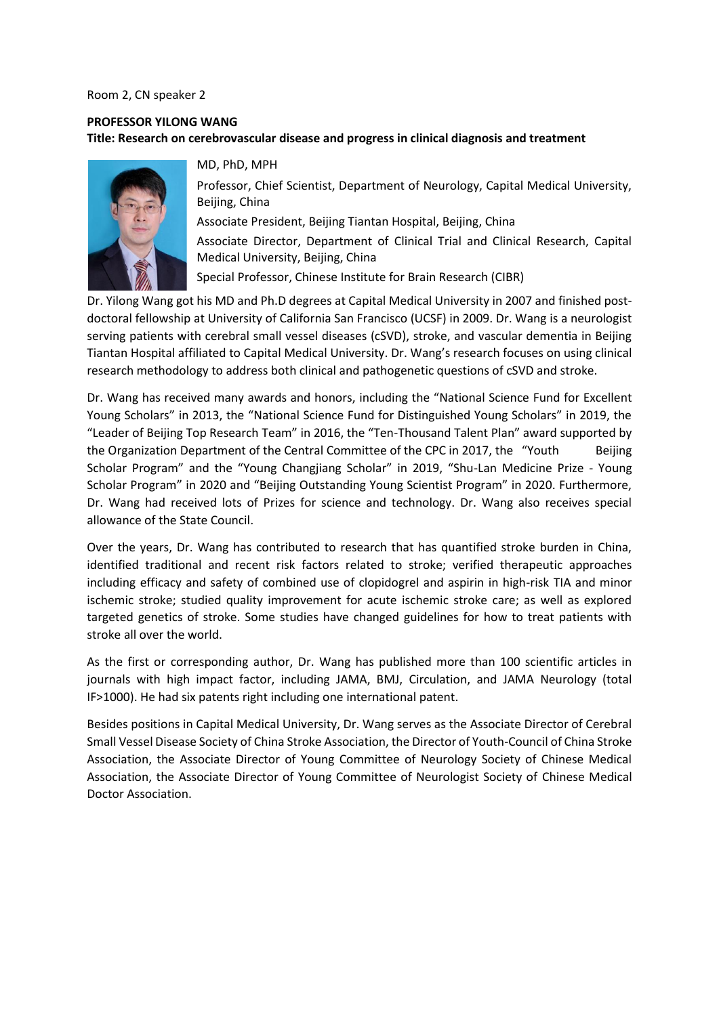#### Room 2, CN speaker 2

### **PROFESSOR YILONG WANG Title: Research on cerebrovascular disease and progress in clinical diagnosis and treatment**



MD, PhD, MPH

Professor, Chief Scientist, Department of Neurology, Capital Medical University, Beijing, China

Associate President, Beijing Tiantan Hospital, Beijing, China Associate Director, Department of Clinical Trial and Clinical Research, Capital Medical University, Beijing, China

Special Professor, Chinese Institute for Brain Research (CIBR)

Dr. Yilong Wang got his MD and Ph.D degrees at Capital Medical University in 2007 and finished postdoctoral fellowship at University of California San Francisco (UCSF) in 2009. Dr. Wang is a neurologist serving patients with cerebral small vessel diseases (cSVD), stroke, and vascular dementia in Beijing Tiantan Hospital affiliated to Capital Medical University. Dr. Wang's research focuses on using clinical research methodology to address both clinical and pathogenetic questions of cSVD and stroke.

Dr. Wang has received many awards and honors, including the "National Science Fund for Excellent Young Scholars" in 2013, the "National Science Fund for Distinguished Young Scholars" in 2019, the "Leader of Beijing Top Research Team" in 2016, the "Ten-Thousand Talent Plan" award supported by the Organization Department of the Central Committee of the CPC in 2017, the "Youth Beijing Scholar Program" and the "Young Changjiang Scholar" in 2019, "Shu-Lan Medicine Prize - Young Scholar Program" in 2020 and "Beijing Outstanding Young Scientist Program" in 2020. Furthermore, Dr. Wang had received lots of Prizes for science and technology. Dr. Wang also receives special allowance of the State Council.

Over the years, Dr. Wang has contributed to research that has quantified stroke burden in China, identified traditional and recent risk factors related to stroke; verified therapeutic approaches including efficacy and safety of combined use of clopidogrel and aspirin in high-risk TIA and minor ischemic stroke; studied quality improvement for acute ischemic stroke care; as well as explored targeted genetics of stroke. Some studies have changed guidelines for how to treat patients with stroke all over the world.

As the first or corresponding author, Dr. Wang has published more than 100 scientific articles in journals with high impact factor, including JAMA, BMJ, Circulation, and JAMA Neurology (total IF>1000). He had six patents right including one international patent.

Besides positions in Capital Medical University, Dr. Wang serves as the Associate Director of Cerebral Small Vessel Disease Society of China Stroke Association, the Director of Youth-Council of China Stroke Association, the Associate Director of Young Committee of Neurology Society of Chinese Medical Association, the Associate Director of Young Committee of Neurologist Society of Chinese Medical Doctor Association.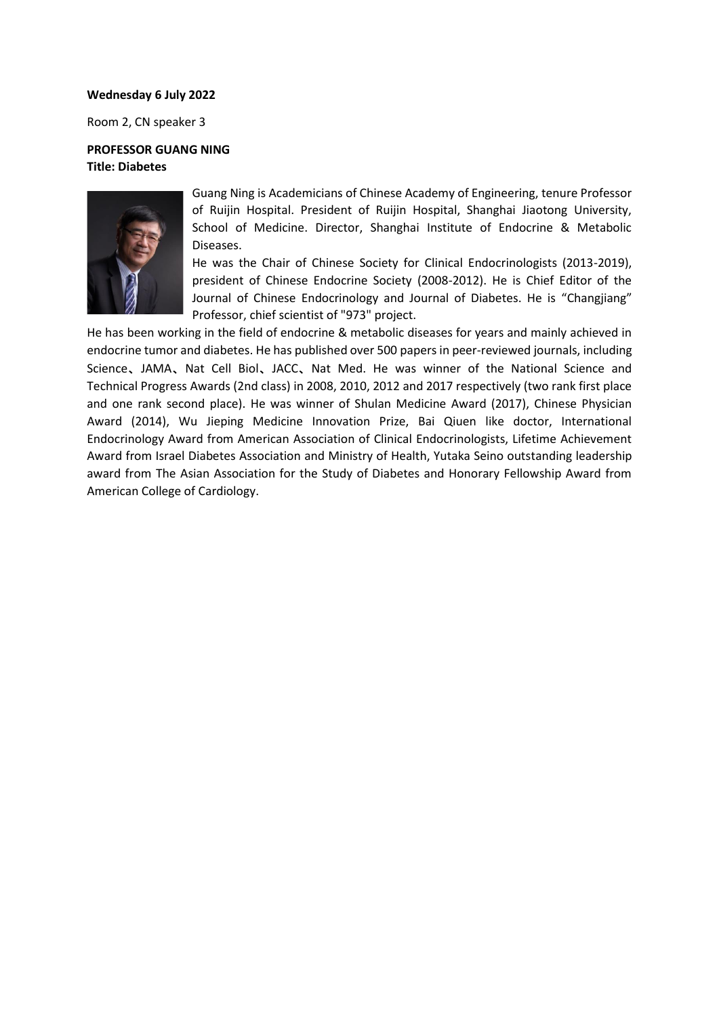### **Wednesday 6 July 2022**

Room 2, CN speaker 3

### **PROFESSOR GUANG NING Title: Diabetes**



Guang Ning is Academicians of Chinese Academy of Engineering, tenure Professor of Ruijin Hospital. President of Ruijin Hospital, Shanghai Jiaotong University, School of Medicine. Director, Shanghai Institute of Endocrine & Metabolic Diseases.

He was the Chair of Chinese Society for Clinical Endocrinologists (2013-2019), president of Chinese Endocrine Society (2008-2012). He is Chief Editor of the Journal of Chinese Endocrinology and Journal of Diabetes. He is "Changjiang" Professor, chief scientist of "973" project.

He has been working in the field of endocrine & metabolic diseases for years and mainly achieved in endocrine tumor and diabetes. He has published over 500 papers in peer-reviewed journals, including Science、JAMA、Nat Cell Biol、JACC、Nat Med. He was winner of the National Science and Technical Progress Awards (2nd class) in 2008, 2010, 2012 and 2017 respectively (two rank first place and one rank second place). He was winner of Shulan Medicine Award (2017), Chinese Physician Award (2014), Wu Jieping Medicine Innovation Prize, Bai Qiuen like doctor, International Endocrinology Award from American Association of Clinical Endocrinologists, Lifetime Achievement Award from Israel Diabetes Association and Ministry of Health, Yutaka Seino outstanding leadership award from The Asian Association for the Study of Diabetes and Honorary Fellowship Award from American College of Cardiology.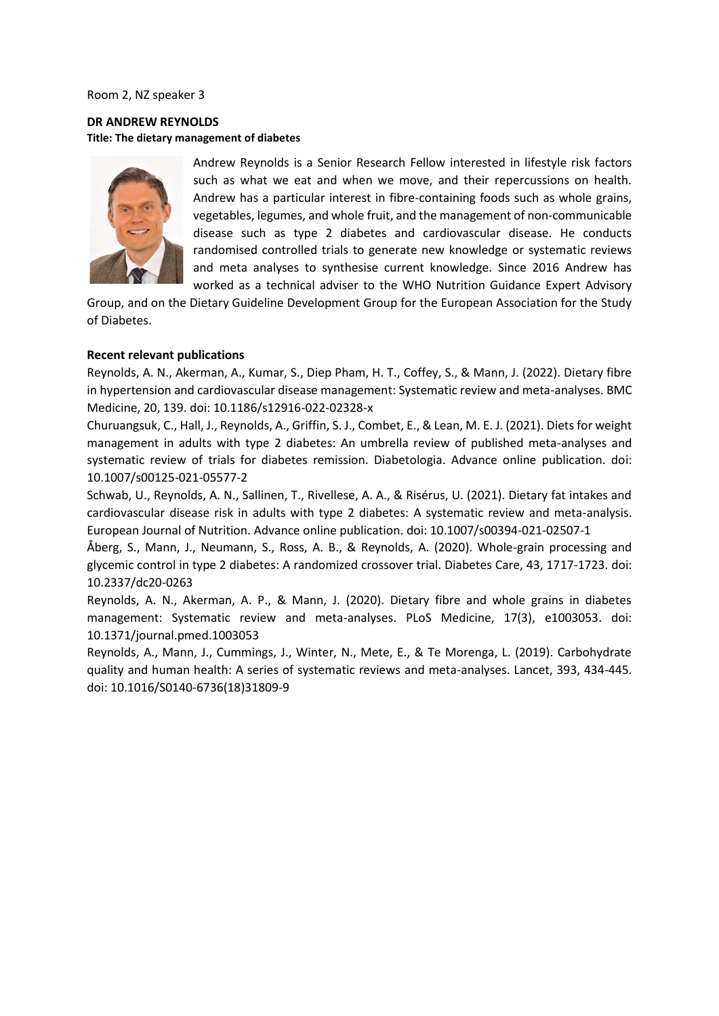Room 2, NZ speaker 3

**DR ANDREW REYNOLDS Title: The dietary management of diabetes**



Andrew Reynolds is a Senior Research Fellow interested in lifestyle risk factors such as what we eat and when we move, and their repercussions on health. Andrew has a particular interest in fibre-containing foods such as whole grains, vegetables, legumes, and whole fruit, and the management of non-communicable disease such as type 2 diabetes and cardiovascular disease. He conducts randomised controlled trials to generate new knowledge or systematic reviews and meta analyses to synthesise current knowledge. Since 2016 Andrew has worked as a technical adviser to the WHO Nutrition Guidance Expert Advisory

Group, and on the Dietary Guideline Development Group for the European Association for the Study of Diabetes.

#### **Recent relevant publications**

Reynolds, A. N., Akerman, A., Kumar, S., Diep Pham, H. T., Coffey, S., & Mann, J. (2022). Dietary fibre in hypertension and cardiovascular disease management: Systematic review and meta-analyses. BMC Medicine, 20, 139. doi: 10.1186/s12916-022-02328-x

Churuangsuk, C., Hall, J., Reynolds, A., Griffin, S. J., Combet, E., & Lean, M. E. J. (2021). Diets for weight management in adults with type 2 diabetes: An umbrella review of published meta-analyses and systematic review of trials for diabetes remission. Diabetologia. Advance online publication. doi: 10.1007/s00125-021-05577-2

Schwab, U., Reynolds, A. N., Sallinen, T., Rivellese, A. A., & Risérus, U. (2021). Dietary fat intakes and cardiovascular disease risk in adults with type 2 diabetes: A systematic review and meta-analysis. European Journal of Nutrition. Advance online publication. doi: 10.1007/s00394-021-02507-1

Åberg, S., Mann, J., Neumann, S., Ross, A. B., & Reynolds, A. (2020). Whole-grain processing and glycemic control in type 2 diabetes: A randomized crossover trial. Diabetes Care, 43, 1717-1723. doi: 10.2337/dc20-0263

Reynolds, A. N., Akerman, A. P., & Mann, J. (2020). Dietary fibre and whole grains in diabetes management: Systematic review and meta-analyses. PLoS Medicine, 17(3), e1003053. doi: 10.1371/journal.pmed.1003053

Reynolds, A., Mann, J., Cummings, J., Winter, N., Mete, E., & Te Morenga, L. (2019). Carbohydrate quality and human health: A series of systematic reviews and meta-analyses. Lancet, 393, 434-445. doi: 10.1016/S0140-6736(18)31809-9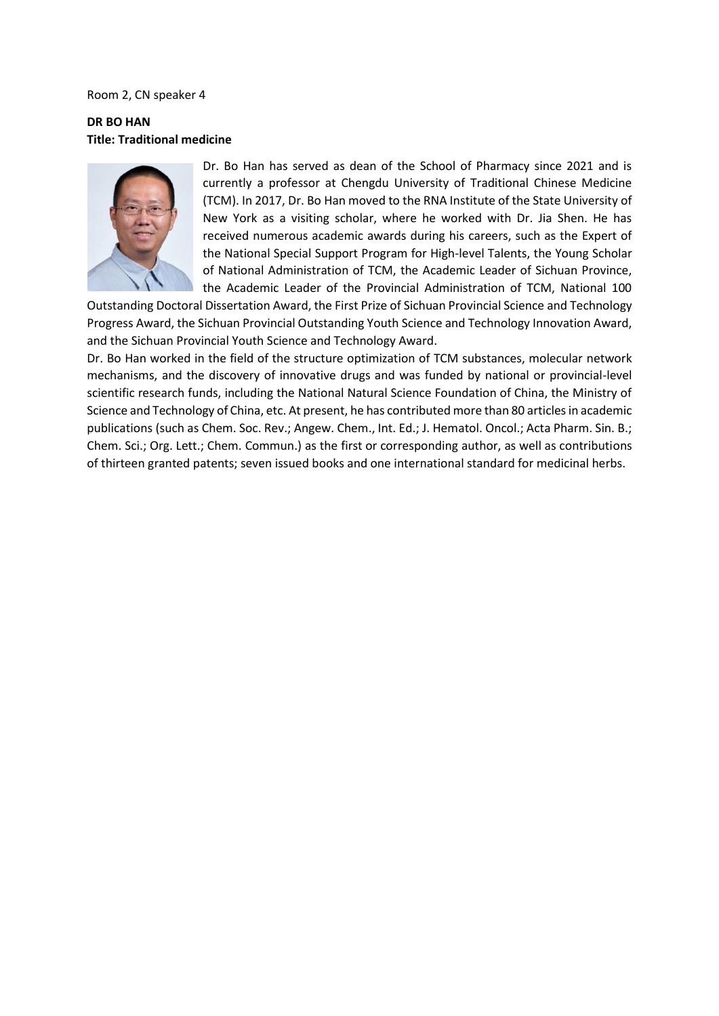#### Room 2, CN speaker 4

### **DR BO HAN Title: Traditional medicine**



Dr. Bo Han has served as dean of the School of Pharmacy since 2021 and is currently a professor at Chengdu University of Traditional Chinese Medicine (TCM). In 2017, Dr. Bo Han moved to the RNA Institute of the State University of New York as a visiting scholar, where he worked with Dr. Jia Shen. He has received numerous academic awards during his careers, such as the Expert of the National Special Support Program for High-level Talents, the Young Scholar of National Administration of TCM, the Academic Leader of Sichuan Province, the Academic Leader of the Provincial Administration of TCM, National 100

Outstanding Doctoral Dissertation Award, the First Prize of Sichuan Provincial Science and Technology Progress Award, the Sichuan Provincial Outstanding Youth Science and Technology Innovation Award, and the Sichuan Provincial Youth Science and Technology Award.

Dr. Bo Han worked in the field of the structure optimization of TCM substances, molecular network mechanisms, and the discovery of innovative drugs and was funded by national or provincial-level scientific research funds, including the National Natural Science Foundation of China, the Ministry of Science and Technology of China, etc. At present, he has contributed more than 80 articles in academic publications (such as Chem. Soc. Rev.; Angew. Chem., Int. Ed.; J. Hematol. Oncol.; Acta Pharm. Sin. B.; Chem. Sci.; Org. Lett.; Chem. Commun.) as the first or corresponding author, as well as contributions of thirteen granted patents; seven issued books and one international standard for medicinal herbs.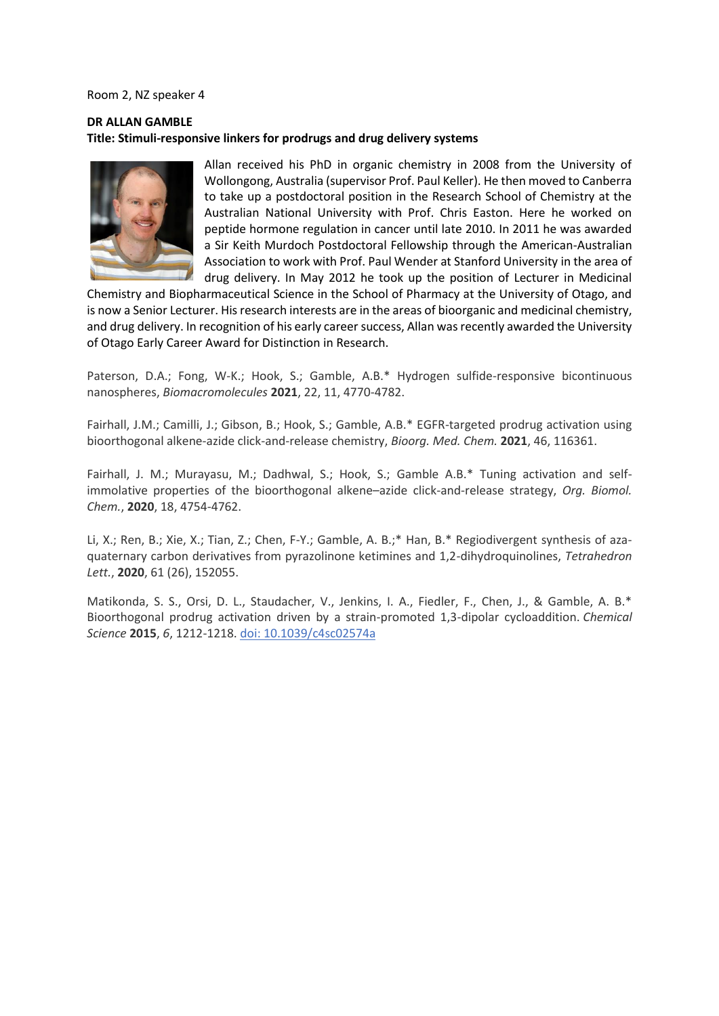Room 2, NZ speaker 4

### **DR ALLAN GAMBLE Title: Stimuli-responsive linkers for prodrugs and drug delivery systems**



Allan received his PhD in organic chemistry in 2008 from the University of Wollongong, Australia (supervisor Prof. Paul Keller). He then moved to Canberra to take up a postdoctoral position in the Research School of Chemistry at the Australian National University with Prof. Chris Easton. Here he worked on peptide hormone regulation in cancer until late 2010. In 2011 he was awarded a Sir Keith Murdoch Postdoctoral Fellowship through the American-Australian Association to work with Prof. Paul Wender at Stanford University in the area of drug delivery. In May 2012 he took up the position of Lecturer in Medicinal

Chemistry and Biopharmaceutical Science in the School of Pharmacy at the University of Otago, and is now a Senior Lecturer. His research interests are in the areas of bioorganic and medicinal chemistry, and drug delivery. In recognition of his early career success, Allan was recently awarded the University of Otago Early Career Award for Distinction in Research.

Paterson, D.A.; Fong, W-K.; Hook, S.; Gamble, A.B.\* Hydrogen sulfide-responsive bicontinuous nanospheres, *Biomacromolecules* **2021**, 22, 11, 4770-4782.

Fairhall, J.M.; Camilli, J.; Gibson, B.; Hook, S.; Gamble, A.B.\* EGFR-targeted prodrug activation using bioorthogonal alkene-azide click-and-release chemistry, *Bioorg. Med. Chem.* **2021**, 46, 116361.

Fairhall, J. M.; Murayasu, M.; Dadhwal, S.; Hook, S.; Gamble A.B.\* Tuning activation and selfimmolative properties of the bioorthogonal alkene–azide click-and-release strategy, *Org. Biomol. Chem.*, **2020**, 18, 4754-4762.

Li, X.; Ren, B.; Xie, X.; Tian, Z.; Chen, F-Y.; Gamble, A. B.;\* Han, B.\* Regiodivergent synthesis of azaquaternary carbon derivatives from pyrazolinone ketimines and 1,2-dihydroquinolines, *Tetrahedron Lett.*, **2020**, 61 (26), 152055.

Matikonda, S. S., Orsi, D. L., Staudacher, V., Jenkins, I. A., Fiedler, F., Chen, J., & Gamble, A. B.\* Bioorthogonal prodrug activation driven by a strain-promoted 1,3-dipolar cycloaddition. *Chemical Science* **2015**, *6*, 1212-1218. [doi: 10.1039/c4sc02574a](http://dx.doi.org/10.1039/c4sc02574a)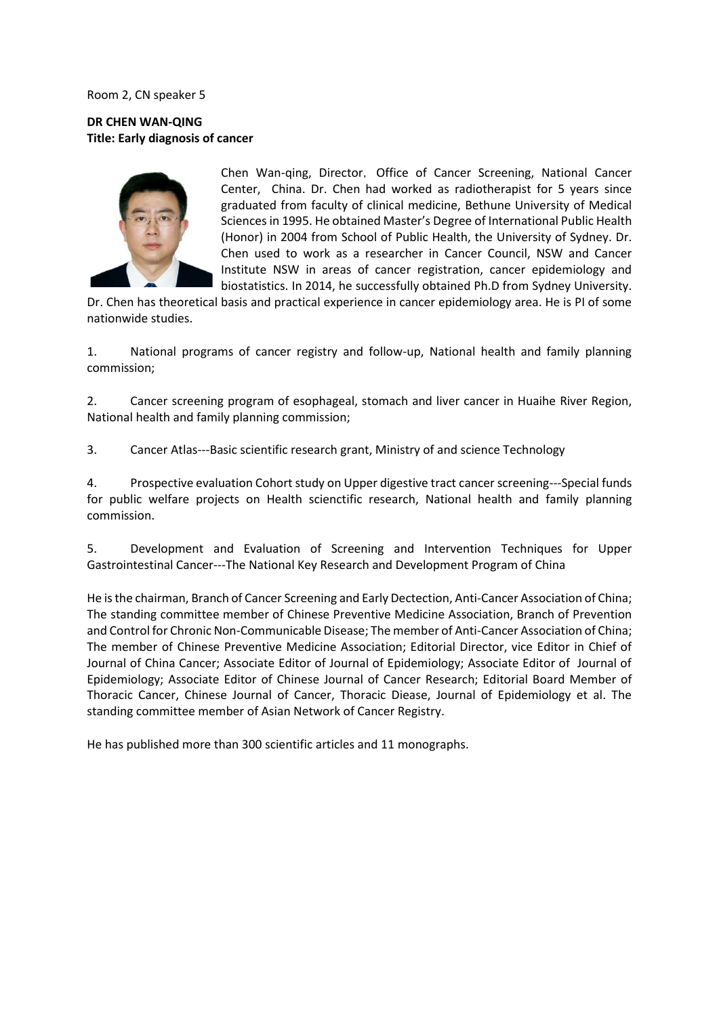Room 2, CN speaker 5

**DR CHEN WAN-QING Title: Early diagnosis of cancer** 



Chen Wan-ging, Director, Office of Cancer Screening, National Cancer Center, China. Dr. Chen had worked as radiotherapist for 5 years since graduated from faculty of clinical medicine, Bethune University of Medical Sciences in 1995. He obtained Master's Degree of International Public Health (Honor) in 2004 from School of Public Health, the University of Sydney. Dr. Chen used to work as a researcher in Cancer Council, NSW and Cancer Institute NSW in areas of cancer registration, cancer epidemiology and biostatistics. In 2014, he successfully obtained Ph.D from Sydney University.

Dr. Chen has theoretical basis and practical experience in cancer epidemiology area. He is PI of some nationwide studies.

1. National programs of cancer registry and follow-up, National health and family planning commission;

2. Cancer screening program of esophageal, stomach and liver cancer in Huaihe River Region, National health and family planning commission;

3. Cancer Atlas---Basic scientific research grant, Ministry of and science Technology

4. Prospective evaluation Cohort study on Upper digestive tract cancer screening---Special funds for public welfare projects on Health scienctific research, National health and family planning commission.

5. Development and Evaluation of Screening and Intervention Techniques for Upper Gastrointestinal Cancer---The National Key Research and Development Program of China

He is the chairman, Branch of Cancer Screening and Early Dectection, Anti-Cancer Association of China; The standing committee member of Chinese Preventive Medicine Association, Branch of Prevention and Control for Chronic Non-Communicable Disease; The member of Anti-Cancer Association of China; The member of Chinese Preventive Medicine Association; Editorial Director, vice Editor in Chief of Journal of China Cancer; Associate Editor of Journal of Epidemiology; Associate Editor of Journal of Epidemiology; Associate Editor of Chinese Journal of Cancer Research; Editorial Board Member of Thoracic Cancer, Chinese Journal of Cancer, Thoracic Diease, Journal of Epidemiology et al. The standing committee member of Asian Network of Cancer Registry.

He has published more than 300 scientific articles and 11 monographs.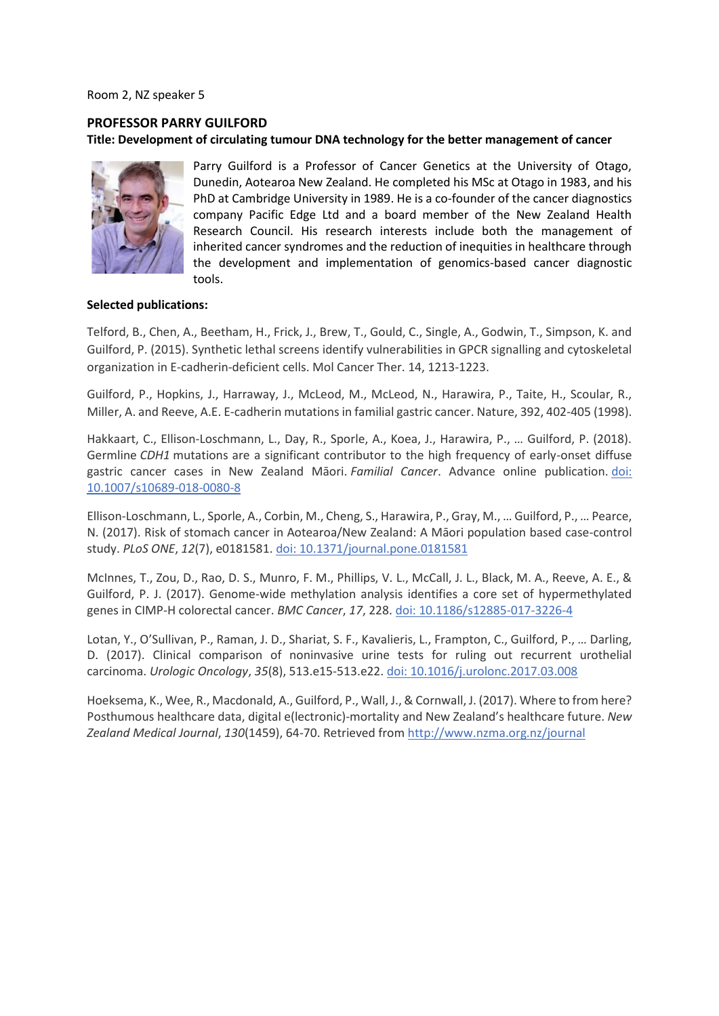Room 2, NZ speaker 5

# **PROFESSOR PARRY GUILFORD Title: Development of circulating tumour DNA technology for the better management of cancer**



Parry Guilford is a Professor of Cancer Genetics at the University of Otago, Dunedin, Aotearoa New Zealand. He completed his MSc at Otago in 1983, and his PhD at Cambridge University in 1989. He is a co-founder of the cancer diagnostics company Pacific Edge Ltd and a board member of the New Zealand Health Research Council. His research interests include both the management of inherited cancer syndromes and the reduction of inequities in healthcare through the development and implementation of genomics-based cancer diagnostic tools.

### **Selected publications:**

Telford, B., Chen, A., Beetham, H., Frick, J., Brew, T., Gould, C., Single, A., Godwin, T., Simpson, K. and Guilford, P. (2015). Synthetic lethal screens identify vulnerabilities in GPCR signalling and cytoskeletal organization in E-cadherin-deficient cells. Mol Cancer Ther. 14, 1213-1223.

Guilford, P., Hopkins, J., Harraway, J., McLeod, M., McLeod, N., Harawira, P., Taite, H., Scoular, R., Miller, A. and Reeve, A.E. E-cadherin mutations in familial gastric cancer. Nature, 392, 402-405 (1998).

Hakkaart, C., Ellison-Loschmann, L., Day, R., Sporle, A., Koea, J., Harawira, P., … Guilford, P. (2018). Germline *CDH1* mutations are a significant contributor to the high frequency of early-onset diffuse gastric cancer cases in New Zealand Māori. *Familial Cancer*. Advance online publication. [doi:](http://dx.doi.org/10.1007/s10689-018-0080-8)  [10.1007/s10689-018-0080-8](http://dx.doi.org/10.1007/s10689-018-0080-8)

Ellison-Loschmann, L., Sporle, A., Corbin, M., Cheng, S., Harawira, P., Gray, M., … Guilford, P., … Pearce, N. (2017). Risk of stomach cancer in Aotearoa/New Zealand: A Māori population based case-control study. *PLoS ONE*, *12*(7), e0181581[. doi: 10.1371/journal.pone.0181581](http://dx.doi.org/10.1371/journal.pone.0181581)

McInnes, T., Zou, D., Rao, D. S., Munro, F. M., Phillips, V. L., McCall, J. L., Black, M. A., Reeve, A. E., & Guilford, P. J. (2017). Genome-wide methylation analysis identifies a core set of hypermethylated genes in CIMP-H colorectal cancer. *BMC Cancer*, *17*, 228[. doi: 10.1186/s12885-017-3226-4](http://dx.doi.org/10.1186/s12885-017-3226-4)

Lotan, Y., O'Sullivan, P., Raman, J. D., Shariat, S. F., Kavalieris, L., Frampton, C., Guilford, P., … Darling, D. (2017). Clinical comparison of noninvasive urine tests for ruling out recurrent urothelial carcinoma. *Urologic Oncology*, *35*(8), 513.e15-513.e22. [doi: 10.1016/j.urolonc.2017.03.008](http://dx.doi.org/10.1016/j.urolonc.2017.03.008)

Hoeksema, K., Wee, R., Macdonald, A., Guilford, P., Wall, J., & Cornwall, J. (2017). Where to from here? Posthumous healthcare data, digital e(lectronic)-mortality and New Zealand's healthcare future. *New Zealand Medical Journal*, *130*(1459), 64-70. Retrieved fro[m http://www.nzma.org.nz/journal](http://www.nzma.org.nz/journal)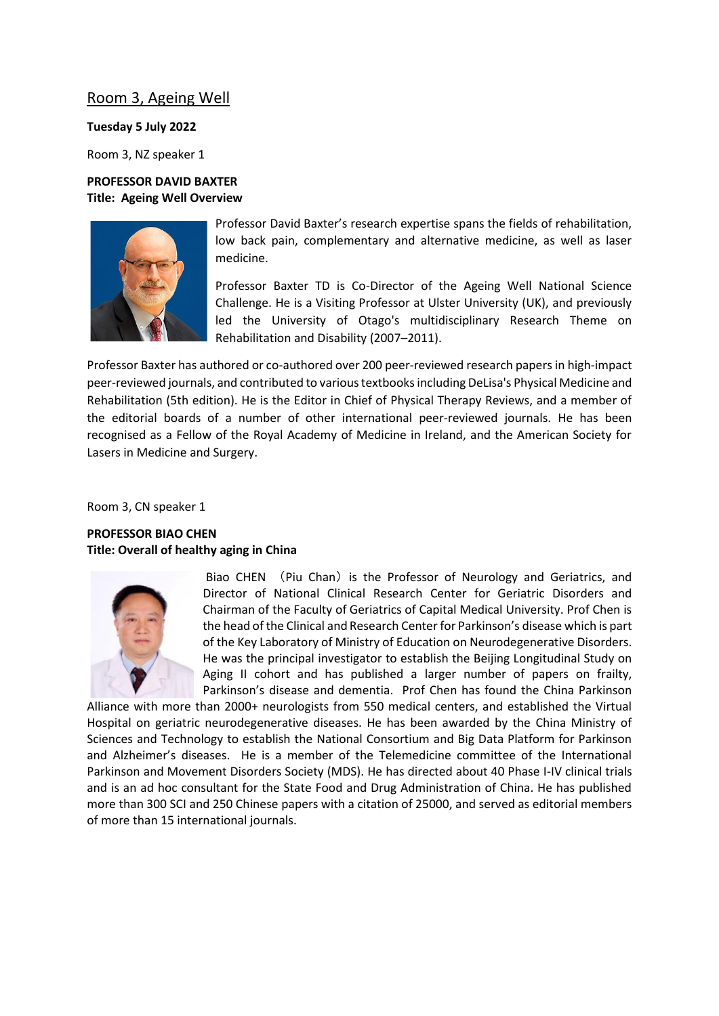# Room 3, Ageing Well

#### **Tuesday 5 July 2022**

Room 3, NZ speaker 1

### **PROFESSOR DAVID BAXTER Title: Ageing Well Overview**



Professor David Baxter's research expertise spans the fields of rehabilitation, low back pain, complementary and alternative medicine, as well as laser medicine.

Professor Baxter TD is Co-Director of the Ageing Well National Science Challenge. He is a Visiting Professor at Ulster University (UK), and previously led the University of Otago's multidisciplinary Research Theme on Rehabilitation and Disability (2007–2011).

Professor Baxter has authored or co-authored over 200 peer-reviewed research papers in high-impact peer-reviewed journals, and contributed to various textbooks including DeLisa's Physical Medicine and Rehabilitation (5th edition). He is the Editor in Chief of Physical Therapy Reviews, and a member of the editorial boards of a number of other international peer-reviewed journals. He has been recognised as a Fellow of the Royal Academy of Medicine in Ireland, and the American Society for Lasers in Medicine and Surgery.

Room 3, CN speaker 1

### **PROFESSOR BIAO CHEN Title: Overall of healthy aging in China**



Biao CHEN (Piu Chan) is the Professor of Neurology and Geriatrics, and Director of National Clinical Research Center for Geriatric Disorders and Chairman of the Faculty of Geriatrics of Capital Medical University. Prof Chen is the head of the Clinical and Research Center for Parkinson's disease which is part of the Key Laboratory of Ministry of Education on Neurodegenerative Disorders. He was the principal investigator to establish the Beijing Longitudinal Study on Aging II cohort and has published a larger number of papers on frailty, Parkinson's disease and dementia. Prof Chen has found the China Parkinson

Alliance with more than 2000+ neurologists from 550 medical centers, and established the Virtual Hospital on geriatric neurodegenerative diseases. He has been awarded by the China Ministry of Sciences and Technology to establish the National Consortium and Big Data Platform for Parkinson and Alzheimer's diseases. He is a member of the Telemedicine committee of the International Parkinson and Movement Disorders Society (MDS). He has directed about 40 Phase I-IV clinical trials and is an ad hoc consultant for the State Food and Drug Administration of China. He has published more than 300 SCI and 250 Chinese papers with a citation of 25000, and served as editorial members of more than 15 international journals.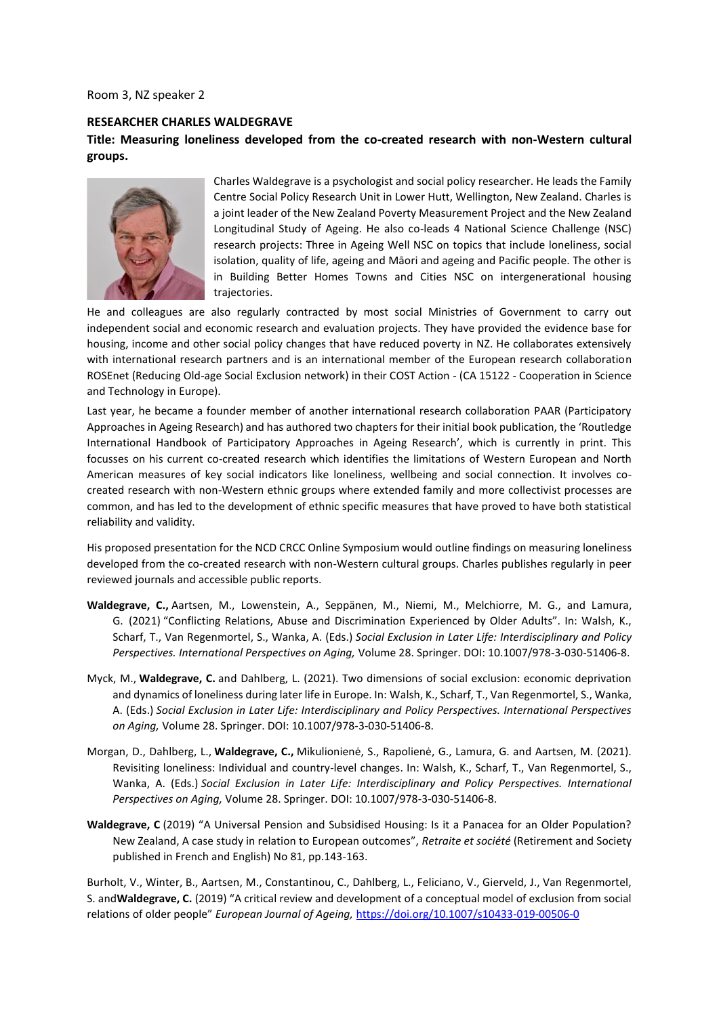Room 3, NZ speaker 2

#### **RESEARCHER CHARLES WALDEGRAVE**

### **Title: Measuring loneliness developed from the co-created research with non-Western cultural groups.**



Charles Waldegrave is a psychologist and social policy researcher. He leads the Family Centre Social Policy Research Unit in Lower Hutt, Wellington, New Zealand. Charles is a joint leader of the New Zealand Poverty Measurement Project and the New Zealand Longitudinal Study of Ageing. He also co-leads 4 National Science Challenge (NSC) research projects: Three in Ageing Well NSC on topics that include loneliness, social isolation, quality of life, ageing and Māori and ageing and Pacific people. The other is in Building Better Homes Towns and Cities NSC on intergenerational housing trajectories.

He and colleagues are also regularly contracted by most social Ministries of Government to carry out independent social and economic research and evaluation projects. They have provided the evidence base for housing, income and other social policy changes that have reduced poverty in NZ. He collaborates extensively with international research partners and is an international member of the European research collaboration ROSEnet (Reducing Old-age Social Exclusion network) in their COST Action - (CA 15122 - Cooperation in Science and Technology in Europe).

Last year, he became a founder member of another international research collaboration PAAR (Participatory Approaches in Ageing Research) and has authored two chapters for their initial book publication, the 'Routledge International Handbook of Participatory Approaches in Ageing Research', which is currently in print. This focusses on his current co-created research which identifies the limitations of Western European and North American measures of key social indicators like loneliness, wellbeing and social connection. It involves cocreated research with non-Western ethnic groups where extended family and more collectivist processes are common, and has led to the development of ethnic specific measures that have proved to have both statistical reliability and validity.

His proposed presentation for the NCD CRCC Online Symposium would outline findings on measuring loneliness developed from the co-created research with non-Western cultural groups. Charles publishes regularly in peer reviewed journals and accessible public reports.

- **Waldegrave, C.,** Aartsen, M., Lowenstein, A., Seppänen, M., Niemi, M., Melchiorre, M. G., and Lamura, G. (2021) "Conflicting Relations, Abuse and Discrimination Experienced by Older Adults". In: Walsh, K., Scharf, T., Van Regenmortel, S., Wanka, A. (Eds.) *Social Exclusion in Later Life: Interdisciplinary and Policy Perspectives. International Perspectives on Aging,* Volume 28. Springer. DOI: 10.1007/978-3-030-51406-8.
- Myck, M., **Waldegrave, C.** and Dahlberg, L. (2021). Two dimensions of social exclusion: economic deprivation and dynamics of loneliness during later life in Europe. In: Walsh, K., Scharf, T., Van Regenmortel, S., Wanka, A. (Eds.) *Social Exclusion in Later Life: Interdisciplinary and Policy Perspectives. International Perspectives on Aging,* Volume 28. Springer. DOI: 10.1007/978-3-030-51406-8.
- Morgan, D., Dahlberg, L., **Waldegrave, C.,** Mikulionienė, S., Rapolienė, G., Lamura, G. and Aartsen, M. (2021). Revisiting loneliness: Individual and country-level changes. In: Walsh, K., Scharf, T., Van Regenmortel, S., Wanka, A. (Eds.) *Social Exclusion in Later Life: Interdisciplinary and Policy Perspectives. International Perspectives on Aging,* Volume 28. Springer. DOI: 10.1007/978-3-030-51406-8.
- **Waldegrave, C** (2019) "A Universal Pension and Subsidised Housing: Is it a Panacea for an Older Population? New Zealand, A case study in relation to European outcomes", *Retraite et société* (Retirement and Society published in French and English) No 81, pp.143-163.

Burholt, V., Winter, B., Aartsen, M., Constantinou, C., Dahlberg, L., Feliciano, V., Gierveld, J., Van Regenmortel, S. and**Waldegrave, C.** (2019) "A critical review and development of a conceptual model of exclusion from social relations of older people" *European Journal of Ageing,* [https://doi.org/10.1007/s10433-019-00506-0](https://apc01.safelinks.protection.outlook.com/?url=https%3A%2F%2Fdoi.org%2F10.1007%2Fs10433-019-00506-0&data=05%7C01%7Cdirector.ageingwell%40otago.ac.nz%7C33c3f0b0752d4dce05dc08da4444c89d%7C0225efc578fe4928b1579ef24809e9ba%7C0%7C0%7C637897359485653352%7CUnknown%7CTWFpbGZsb3d8eyJWIjoiMC4wLjAwMDAiLCJQIjoiV2luMzIiLCJBTiI6Ik1haWwiLCJXVCI6Mn0%3D%7C3000%7C%7C%7C&sdata=lA6Z0QxwsdnHFdqKeDvUIfBs4nKMdHeLPa7i0FQQvSw%3D&reserved=0)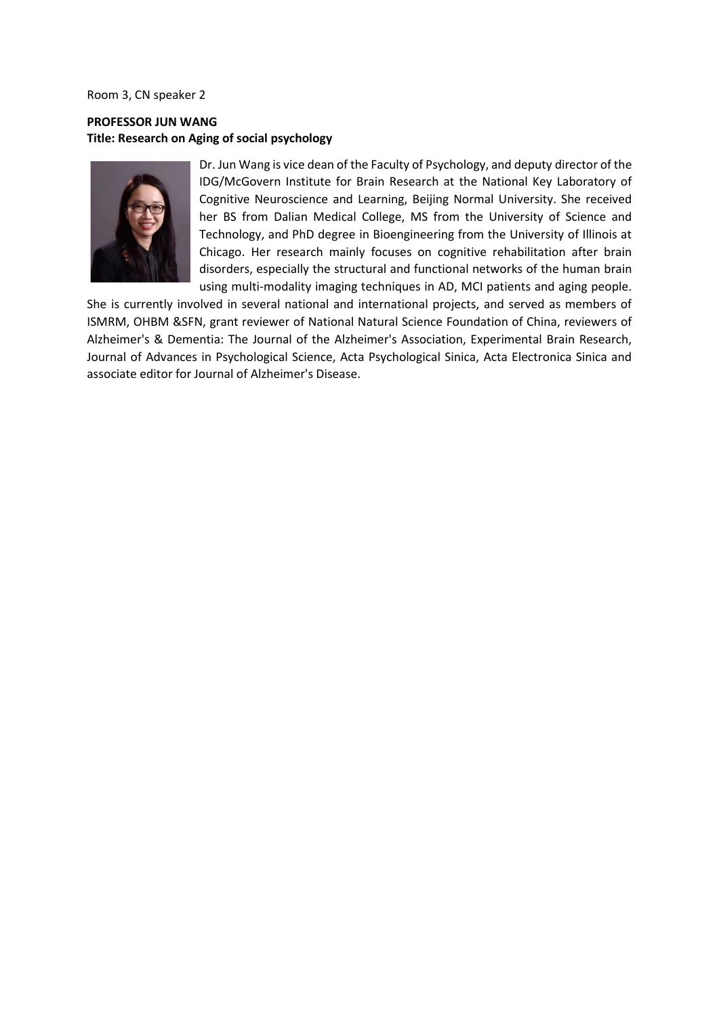Room 3, CN speaker 2

### **PROFESSOR JUN WANG Title: Research on Aging of social psychology**



Dr. Jun Wang is vice dean of the Faculty of Psychology, and deputy director of the IDG/McGovern Institute for Brain Research at the National Key Laboratory of Cognitive Neuroscience and Learning, Beijing Normal University. She received her BS from Dalian Medical College, MS from the University of Science and Technology, and PhD degree in Bioengineering from the University of Illinois at Chicago. Her research mainly focuses on cognitive rehabilitation after brain disorders, especially the structural and functional networks of the human brain using multi-modality imaging techniques in AD, MCI patients and aging people.

She is currently involved in several national and international projects, and served as members of ISMRM, OHBM &SFN, grant reviewer of National Natural Science Foundation of China, reviewers of Alzheimer's & Dementia: The Journal of the Alzheimer's Association, Experimental Brain Research, Journal of Advances in Psychological Science, Acta Psychological Sinica, Acta Electronica Sinica and associate editor for Journal of Alzheimer's Disease.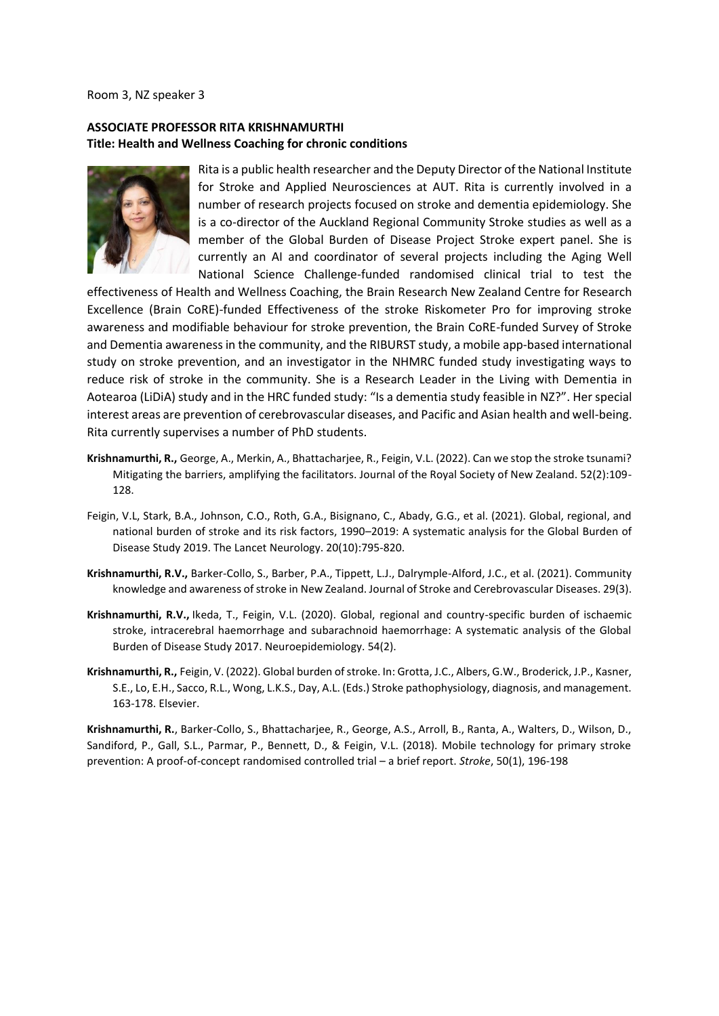Room 3, NZ speaker 3

### **ASSOCIATE PROFESSOR RITA KRISHNAMURTHI Title: Health and Wellness Coaching for chronic conditions**



Rita is a public health researcher and the Deputy Director of the National Institute for Stroke and Applied Neurosciences at AUT. Rita is currently involved in a number of research projects focused on stroke and dementia epidemiology. She is a co-director of the Auckland Regional Community Stroke studies as well as a member of the Global Burden of Disease Project Stroke expert panel. She is currently an AI and coordinator of several projects including the Aging Well National Science Challenge-funded randomised clinical trial to test the

effectiveness of Health and Wellness Coaching, the Brain Research New Zealand Centre for Research Excellence (Brain CoRE)-funded Effectiveness of the stroke Riskometer Pro for improving stroke awareness and modifiable behaviour for stroke prevention, the Brain CoRE-funded Survey of Stroke and Dementia awareness in the community, and the RIBURST study, a mobile app-based international study on stroke prevention, and an investigator in the NHMRC funded study investigating ways to reduce risk of stroke in the community. She is a Research Leader in the Living with Dementia in Aotearoa (LiDiA) study and in the HRC funded study: "Is a dementia study feasible in NZ?". Her special interest areas are prevention of cerebrovascular diseases, and Pacific and Asian health and well-being. Rita currently supervises a number of PhD students.

- **Krishnamurthi, R.,** George, A., Merkin, A., Bhattacharjee, R., Feigin, V.L. (2022). Can we stop the stroke tsunami? Mitigating the barriers, amplifying the facilitators. Journal of the Royal Society of New Zealand. 52(2):109- 128.
- Feigin, V.L, Stark, B.A., Johnson, C.O., Roth, G.A., Bisignano, C., Abady, G.G., et al. (2021). Global, regional, and national burden of stroke and its risk factors, 1990–2019: A systematic analysis for the Global Burden of Disease Study 2019. The Lancet Neurology. 20(10):795-820.
- **Krishnamurthi, R.V.,** Barker-Collo, S., Barber, P.A., Tippett, L.J., Dalrymple-Alford, J.C., et al. (2021). Community knowledge and awareness of stroke in New Zealand. Journal of Stroke and Cerebrovascular Diseases. 29(3).
- **Krishnamurthi, R.V.,** Ikeda, T., Feigin, V.L. (2020). Global, regional and country-specific burden of ischaemic stroke, intracerebral haemorrhage and subarachnoid haemorrhage: A systematic analysis of the Global Burden of Disease Study 2017. Neuroepidemiology. 54(2).
- **Krishnamurthi, R.,** Feigin, V. (2022). Global burden of stroke. In: Grotta, J.C., Albers, G.W., Broderick, J.P., Kasner, S.E., Lo, E.H., Sacco, R.L., Wong, L.K.S., Day, A.L. (Eds.) Stroke pathophysiology, diagnosis, and management. 163-178. Elsevier.

**Krishnamurthi, R.**, Barker-Collo, S., Bhattacharjee, R., George, A.S., Arroll, B., Ranta, A., Walters, D., Wilson, D., Sandiford, P., Gall, S.L., Parmar, P., Bennett, D., & Feigin, V.L. (2018). Mobile technology for primary stroke prevention: A proof-of-concept randomised controlled trial – a brief report. *Stroke*, 50(1), 196-198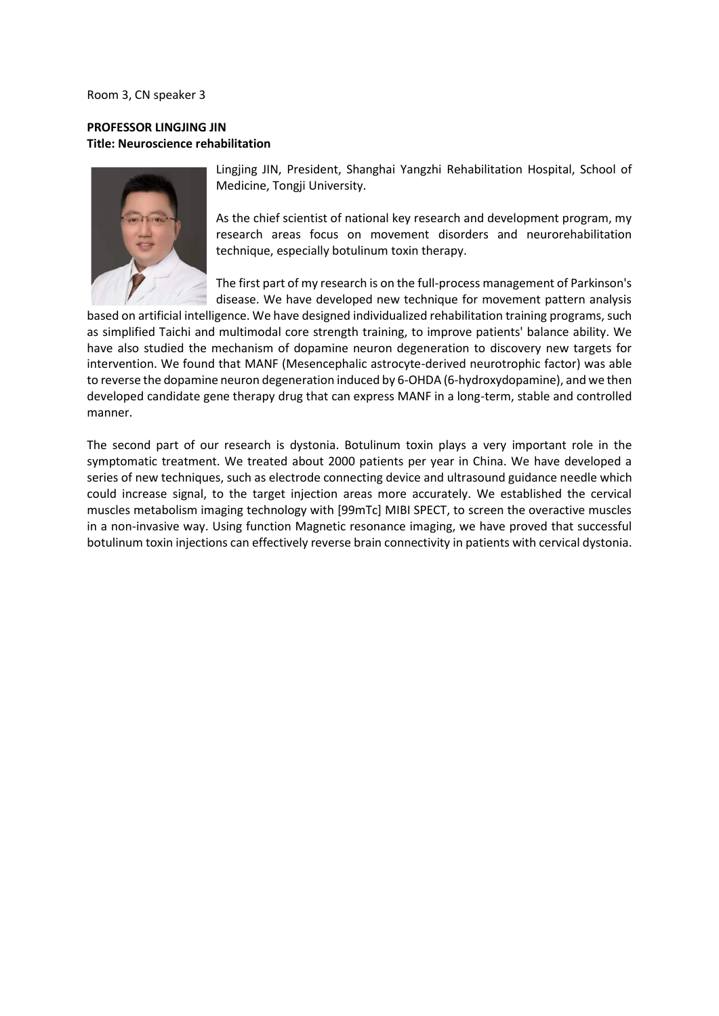Room 3, CN speaker 3

### **PROFESSOR LINGJING JIN Title: Neuroscience rehabilitation**



Lingjing JIN, President, Shanghai Yangzhi Rehabilitation Hospital, School of Medicine, Tongji University.

As the chief scientist of national key research and development program, my research areas focus on movement disorders and neurorehabilitation technique, especially botulinum toxin therapy.

The first part of my research is on the full-process management of Parkinson's disease. We have developed new technique for movement pattern analysis

based on artificial intelligence. We have designed individualized rehabilitation training programs, such as simplified Taichi and multimodal core strength training, to improve patients' balance ability. We have also studied the mechanism of dopamine neuron degeneration to discovery new targets for intervention. We found that MANF (Mesencephalic astrocyte-derived neurotrophic factor) was able to reverse the dopamine neuron degeneration induced by 6-OHDA (6-hydroxydopamine), and we then developed candidate gene therapy drug that can express MANF in a long-term, stable and controlled manner.

The second part of our research is dystonia. Botulinum toxin plays a very important role in the symptomatic treatment. We treated about 2000 patients per year in China. We have developed a series of new techniques, such as electrode connecting device and ultrasound guidance needle which could increase signal, to the target injection areas more accurately. We established the cervical muscles metabolism imaging technology with [99mTc] MIBI SPECT, to screen the overactive muscles in a non-invasive way. Using function Magnetic resonance imaging, we have proved that successful botulinum toxin injections can effectively reverse brain connectivity in patients with cervical dystonia.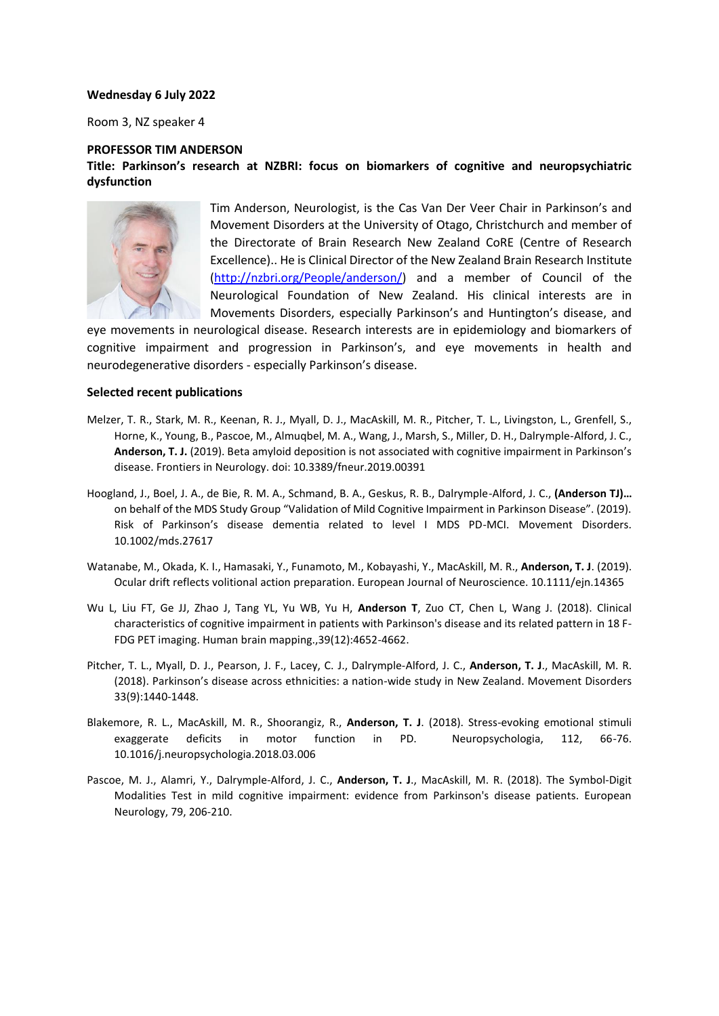#### **Wednesday 6 July 2022**

Room 3, NZ speaker 4

#### **PROFESSOR TIM ANDERSON**

### **Title: Parkinson's research at NZBRI: focus on biomarkers of cognitive and neuropsychiatric dysfunction**



Tim Anderson, Neurologist, is the Cas Van Der Veer Chair in Parkinson's and Movement Disorders at the University of Otago, Christchurch and member of the Directorate of Brain Research New Zealand CoRE (Centre of Research Excellence).. He is Clinical Director of the New Zealand Brain Research Institute [\(http://nzbri.org/People/anderson/\)](http://nzbri.org/People/anderson/) and a member of Council of the Neurological Foundation of New Zealand. His clinical interests are in Movements Disorders, especially Parkinson's and Huntington's disease, and

eye movements in neurological disease. Research interests are in epidemiology and biomarkers of cognitive impairment and progression in Parkinson's, and eye movements in health and neurodegenerative disorders - especially Parkinson's disease.

#### **Selected recent publications**

- Melzer, T. R., Stark, M. R., Keenan, R. J., Myall, D. J., MacAskill, M. R., Pitcher, T. L., Livingston, L., Grenfell, S., Horne, K., Young, B., Pascoe, M., Almuqbel, M. A., Wang, J., Marsh, S., Miller, D. H., Dalrymple-Alford, J. C., **Anderson, T. J.** (2019). Beta amyloid deposition is not associated with cognitive impairment in Parkinson's disease. Frontiers in Neurology. doi: 10.3389/fneur.2019.00391
- Hoogland, J., Boel, J. A., de Bie, R. M. A., Schmand, B. A., Geskus, R. B., Dalrymple-Alford, J. C., **(Anderson TJ)…** on behalf of the MDS Study Group "Validation of Mild Cognitive Impairment in Parkinson Disease". (2019). Risk of Parkinson's disease dementia related to level I MDS PD-MCI. Movement Disorders. 10.1002/mds.27617
- Watanabe, M., Okada, K. I., Hamasaki, Y., Funamoto, M., Kobayashi, Y., MacAskill, M. R., **Anderson, T. J**. (2019). Ocular drift reflects volitional action preparation. European Journal of Neuroscience. 10.1111/ejn.14365
- Wu L, Liu FT, Ge JJ, Zhao J, Tang YL, Yu WB, Yu H, **Anderson T**, Zuo CT, Chen L, Wang J. (2018). Clinical characteristics of cognitive impairment in patients with Parkinson's disease and its related pattern in 18 F-FDG PET imaging. Human brain mapping.,39(12):4652-4662.
- Pitcher, T. L., Myall, D. J., Pearson, J. F., Lacey, C. J., Dalrymple-Alford, J. C., **Anderson, T. J**., MacAskill, M. R. (2018). Parkinson's disease across ethnicities: a nation-wide study in New Zealand. Movement Disorders 33(9):1440-1448.
- Blakemore, R. L., MacAskill, M. R., Shoorangiz, R., **Anderson, T. J**. (2018). Stress-evoking emotional stimuli exaggerate deficits in motor function in PD. Neuropsychologia, 112, 66-76. 10.1016/j.neuropsychologia.2018.03.006
- Pascoe, M. J., Alamri, Y., Dalrymple-Alford, J. C., **Anderson, T. J**., MacAskill, M. R. (2018). The Symbol-Digit Modalities Test in mild cognitive impairment: evidence from Parkinson's disease patients. European Neurology, 79, 206-210.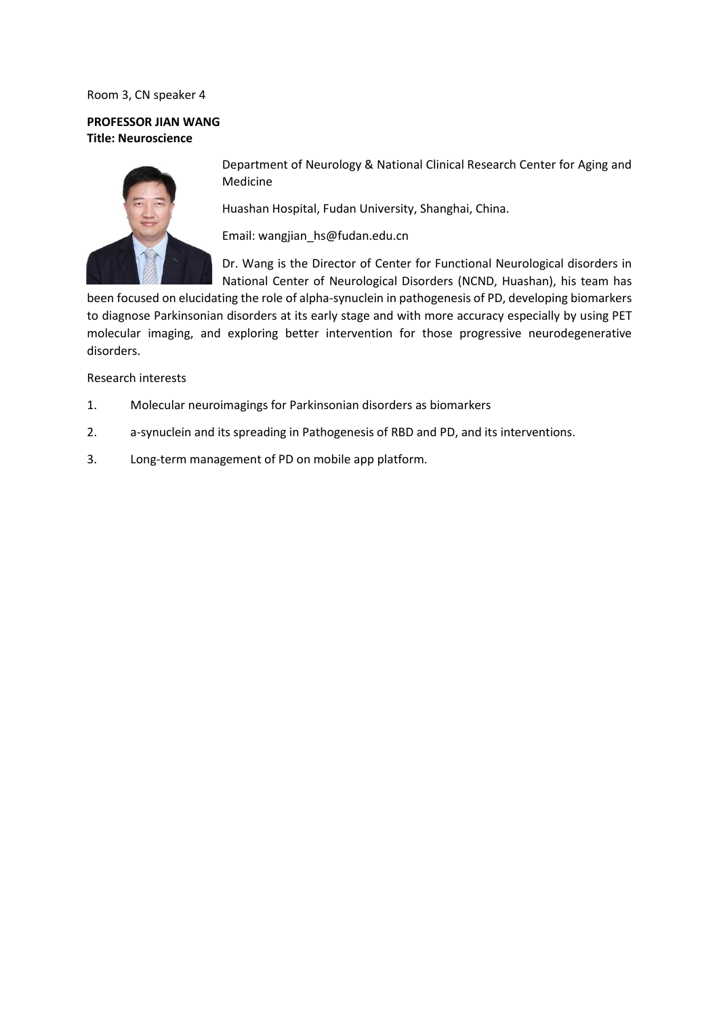### Room 3, CN speaker 4

### **PROFESSOR JIAN WANG Title: Neuroscience**



Department of Neurology & National Clinical Research Center for Aging and Medicine

Huashan Hospital, Fudan University, Shanghai, China.

Email: wangjian\_hs@fudan.edu.cn

Dr. Wang is the Director of Center for Functional Neurological disorders in National Center of Neurological Disorders (NCND, Huashan), his team has

been focused on elucidating the role of alpha-synuclein in pathogenesis of PD, developing biomarkers to diagnose Parkinsonian disorders at its early stage and with more accuracy especially by using PET molecular imaging, and exploring better intervention for those progressive neurodegenerative disorders.

Research interests

- 1. Molecular neuroimagings for Parkinsonian disorders as biomarkers
- 2. a-synuclein and its spreading in Pathogenesis of RBD and PD, and its interventions.
- 3. Long-term management of PD on mobile app platform.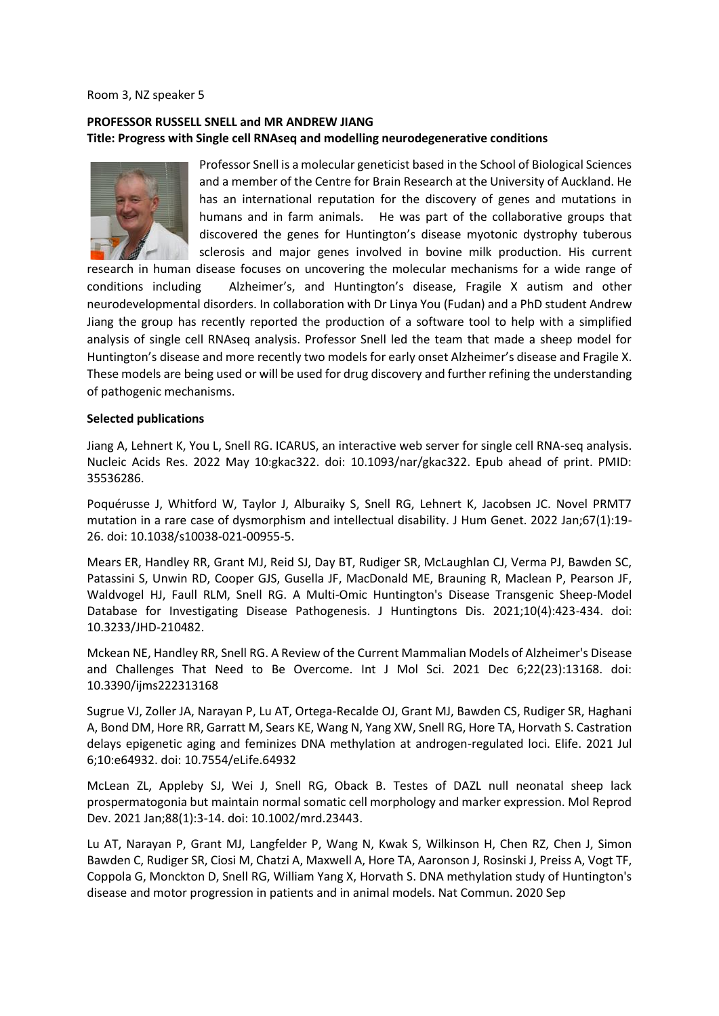#### Room 3, NZ speaker 5

### **PROFESSOR RUSSELL SNELL and MR ANDREW JIANG Title: Progress with Single cell RNAseq and modelling neurodegenerative conditions**



Professor Snell is a molecular geneticist based in the School of Biological Sciences and a member of the Centre for Brain Research at the University of Auckland. He has an international reputation for the discovery of genes and mutations in humans and in farm animals. He was part of the collaborative groups that discovered the genes for Huntington's disease myotonic dystrophy tuberous sclerosis and major genes involved in bovine milk production. His current

research in human disease focuses on uncovering the molecular mechanisms for a wide range of conditions including Alzheimer's, and Huntington's disease, Fragile X autism and other neurodevelopmental disorders. In collaboration with Dr Linya You (Fudan) and a PhD student Andrew Jiang the group has recently reported the production of a software tool to help with a simplified analysis of single cell RNAseq analysis. Professor Snell led the team that made a sheep model for Huntington's disease and more recently two models for early onset Alzheimer's disease and Fragile X. These models are being used or will be used for drug discovery and further refining the understanding of pathogenic mechanisms.

#### **Selected publications**

Jiang A, Lehnert K, You L, Snell RG. ICARUS, an interactive web server for single cell RNA-seq analysis. Nucleic Acids Res. 2022 May 10:gkac322. doi: 10.1093/nar/gkac322. Epub ahead of print. PMID: 35536286.

Poquérusse J, Whitford W, Taylor J, Alburaiky S, Snell RG, Lehnert K, Jacobsen JC. Novel PRMT7 mutation in a rare case of dysmorphism and intellectual disability. J Hum Genet. 2022 Jan;67(1):19- 26. doi: 10.1038/s10038-021-00955-5.

Mears ER, Handley RR, Grant MJ, Reid SJ, Day BT, Rudiger SR, McLaughlan CJ, Verma PJ, Bawden SC, Patassini S, Unwin RD, Cooper GJS, Gusella JF, MacDonald ME, Brauning R, Maclean P, Pearson JF, Waldvogel HJ, Faull RLM, Snell RG. A Multi-Omic Huntington's Disease Transgenic Sheep-Model Database for Investigating Disease Pathogenesis. J Huntingtons Dis. 2021;10(4):423-434. doi: 10.3233/JHD-210482.

Mckean NE, Handley RR, Snell RG. A Review of the Current Mammalian Models of Alzheimer's Disease and Challenges That Need to Be Overcome. Int J Mol Sci. 2021 Dec 6;22(23):13168. doi: 10.3390/ijms222313168

Sugrue VJ, Zoller JA, Narayan P, Lu AT, Ortega-Recalde OJ, Grant MJ, Bawden CS, Rudiger SR, Haghani A, Bond DM, Hore RR, Garratt M, Sears KE, Wang N, Yang XW, Snell RG, Hore TA, Horvath S. Castration delays epigenetic aging and feminizes DNA methylation at androgen-regulated loci. Elife. 2021 Jul 6;10:e64932. doi: 10.7554/eLife.64932

McLean ZL, Appleby SJ, Wei J, Snell RG, Oback B. Testes of DAZL null neonatal sheep lack prospermatogonia but maintain normal somatic cell morphology and marker expression. Mol Reprod Dev. 2021 Jan;88(1):3-14. doi: 10.1002/mrd.23443.

Lu AT, Narayan P, Grant MJ, Langfelder P, Wang N, Kwak S, Wilkinson H, Chen RZ, Chen J, Simon Bawden C, Rudiger SR, Ciosi M, Chatzi A, Maxwell A, Hore TA, Aaronson J, Rosinski J, Preiss A, Vogt TF, Coppola G, Monckton D, Snell RG, William Yang X, Horvath S. DNA methylation study of Huntington's disease and motor progression in patients and in animal models. Nat Commun. 2020 Sep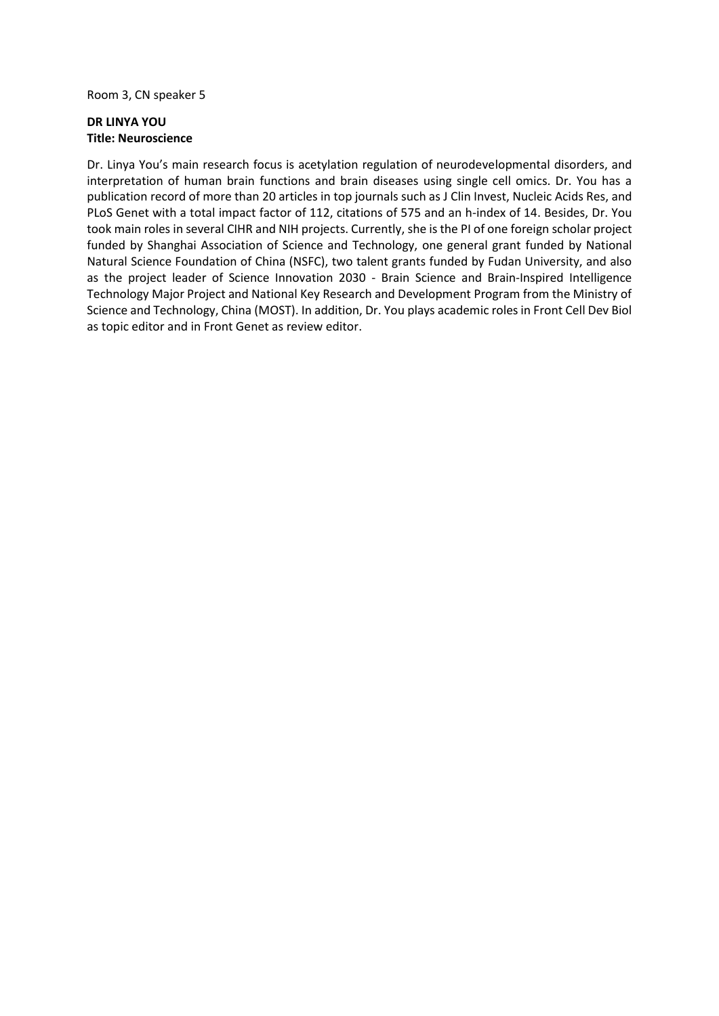Room 3, CN speaker 5

### **DR LINYA YOU Title: Neuroscience**

Dr. Linya You's main research focus is acetylation regulation of neurodevelopmental disorders, and interpretation of human brain functions and brain diseases using single cell omics. Dr. You has a publication record of more than 20 articles in top journals such as J Clin Invest, Nucleic Acids Res, and PLoS Genet with a total impact factor of 112, citations of 575 and an h-index of 14. Besides, Dr. You took main roles in several CIHR and NIH projects. Currently, she is the PI of one foreign scholar project funded by Shanghai Association of Science and Technology, one general grant funded by National Natural Science Foundation of China (NSFC), two talent grants funded by Fudan University, and also as the project leader of Science Innovation 2030 - Brain Science and Brain-Inspired Intelligence Technology Major Project and National Key Research and Development Program from the Ministry of Science and Technology, China (MOST). In addition, Dr. You plays academic roles in Front Cell Dev Biol as topic editor and in Front Genet as review editor.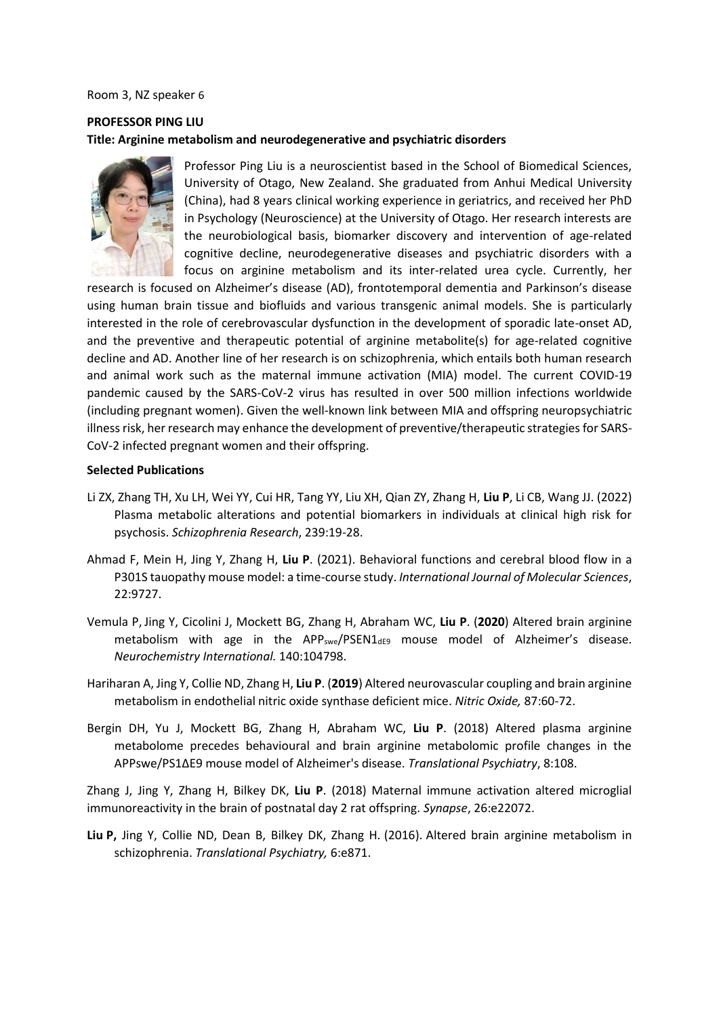#### Room 3, NZ speaker 6

# **PROFESSOR PING LIU Title: Arginine metabolism and neurodegenerative and psychiatric disorders**



Professor Ping Liu is a neuroscientist based in the School of Biomedical Sciences, University of Otago, New Zealand. She graduated from Anhui Medical University (China), had 8 years clinical working experience in geriatrics, and received her PhD in Psychology (Neuroscience) at the University of Otago. Her research interests are the neurobiological basis, biomarker discovery and intervention of age-related cognitive decline, neurodegenerative diseases and psychiatric disorders with a focus on arginine metabolism and its inter-related urea cycle. Currently, her

research is focused on Alzheimer's disease (AD), frontotemporal dementia and Parkinson's disease using human brain tissue and biofluids and various transgenic animal models. She is particularly interested in the role of cerebrovascular dysfunction in the development of sporadic late-onset AD, and the preventive and therapeutic potential of arginine metabolite(s) for age-related cognitive decline and AD. Another line of her research is on schizophrenia, which entails both human research and animal work such as the maternal immune activation (MIA) model. The current COVID-19 pandemic caused by the SARS-CoV-2 virus has resulted in over 500 million infections worldwide (including pregnant women). Given the well-known link between MIA and offspring neuropsychiatric illness risk, her research may enhance the development of preventive/therapeutic strategies for SARS-CoV-2 infected pregnant women and their offspring.

#### **Selected Publications**

- Li ZX, Zhang TH, Xu LH, Wei YY, Cui HR, Tang YY, Liu XH, Qian ZY, Zhang H, **Liu P**, Li CB, Wang JJ. (2022) Plasma metabolic alterations and potential biomarkers in individuals at clinical high risk for psychosis. *Schizophrenia Research*, 239:19-28.
- Ahmad F, Mein H, Jing Y, Zhang H, **Liu P**. (2021). Behavioral functions and cerebral blood flow in a P301S tauopathy mouse model: a time-course study. *International Journal of Molecular Sciences*, 22:9727.
- Vemula P, Jing Y, Cicolini J, Mockett BG, Zhang H, Abraham WC, **Liu P**. (**2020**) Altered brain arginine metabolism with age in the APP<sub>swe</sub>/PSEN1 $_{\text{def9}}$  mouse model of Alzheimer's disease. *Neurochemistry International.* 140:104798.
- Hariharan A, Jing Y, Collie ND, Zhang H, **Liu P**. (**2019**) Altered neurovascular coupling and brain arginine metabolism in endothelial nitric oxide synthase deficient mice. *Nitric Oxide,* 87:60-72.
- Bergin DH, Yu J, Mockett BG, Zhang H, Abraham WC, **Liu P**. (2018) Altered plasma arginine metabolome precedes behavioural and brain arginine metabolomic profile changes in the APPswe/PS1ΔE9 mouse model of Alzheimer's disease. *Translational Psychiatry*, 8:108.

Zhang J, Jing Y, Zhang H, Bilkey DK, **Liu P**. (2018) Maternal immune activation altered microglial immunoreactivity in the brain of postnatal day 2 rat offspring. *Synapse*, 26:e22072.

**Liu P,** Jing Y, Collie ND, Dean B, Bilkey DK, Zhang H. (2016). Altered brain arginine metabolism in schizophrenia. *Translational Psychiatry,* 6:e871.